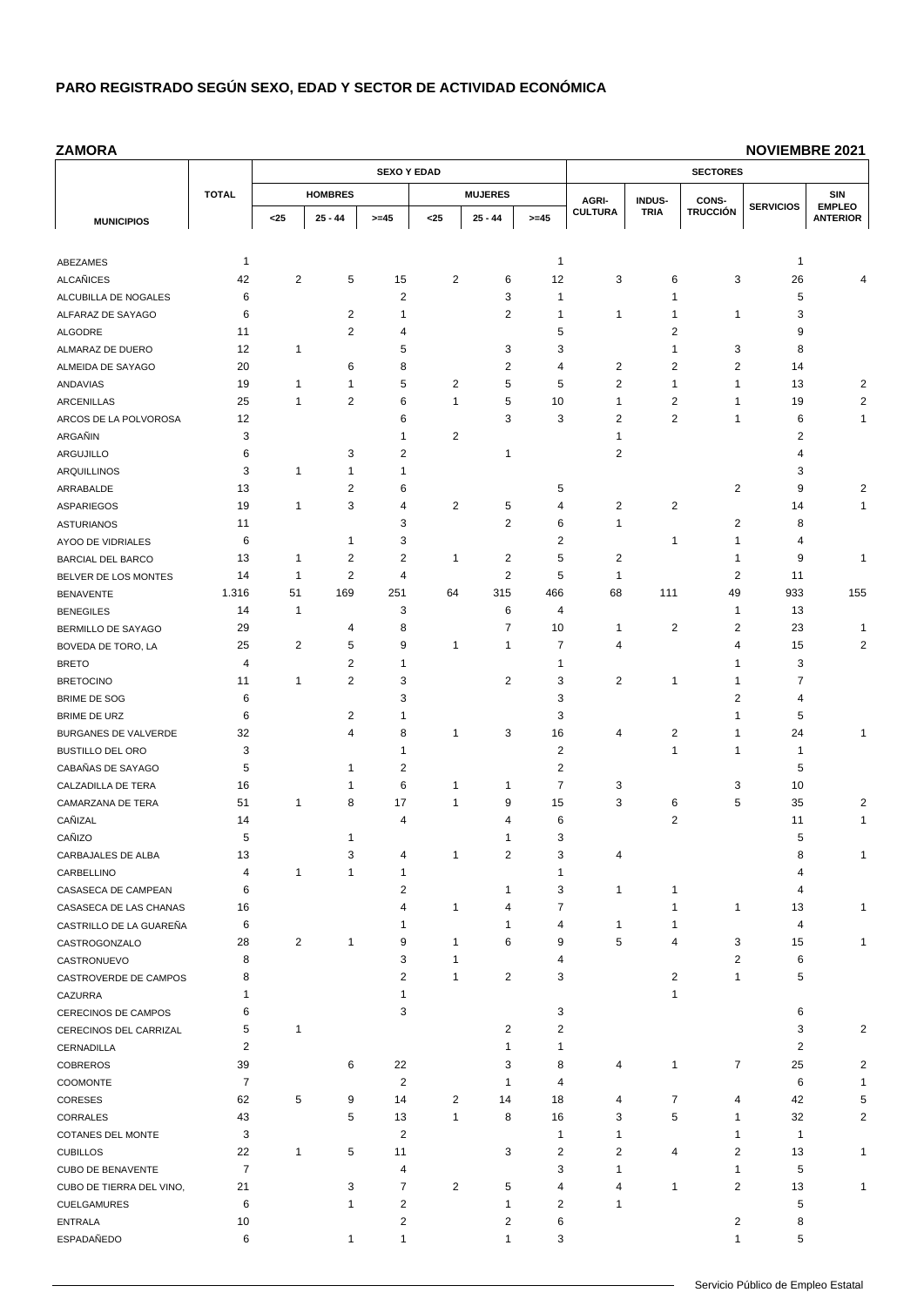**ZAMORA**

|                                 |                      |                |                                | <b>SEXO Y EDAD</b>      |                |                   | <b>SECTORES</b> |                         |                     |                         |                  |                                  |
|---------------------------------|----------------------|----------------|--------------------------------|-------------------------|----------------|-------------------|-----------------|-------------------------|---------------------|-------------------------|------------------|----------------------------------|
|                                 | <b>TOTAL</b>         |                | <b>HOMBRES</b>                 |                         |                | <b>MUJERES</b>    |                 | AGRI-                   | INDUS-              | CONS-                   |                  | SIN                              |
| <b>MUNICIPIOS</b>               |                      | $25$           | 25 - 44                        | $>= 45$                 | $25$           | $25 - 44$         | $>= 45$         | <b>CULTURA</b>          | <b>TRIA</b>         | <b>TRUCCIÓN</b>         | <b>SERVICIOS</b> | <b>EMPLEO</b><br><b>ANTERIOR</b> |
|                                 |                      |                |                                |                         |                |                   |                 |                         |                     |                         |                  |                                  |
| ABEZAMES                        | 1                    |                |                                |                         |                |                   | $\mathbf{1}$    |                         |                     |                         | 1                |                                  |
| <b>ALCAÑICES</b>                | 42                   | $\overline{2}$ | 5                              | 15                      | $\overline{2}$ | 6                 | 12              | 3                       | 6                   | 3                       | 26               |                                  |
| ALCUBILLA DE NOGALES            | 6                    |                |                                | 2                       |                | 3                 | $\mathbf{1}$    |                         | 1                   |                         | 5                |                                  |
| ALFARAZ DE SAYAGO               | 6                    |                | $\overline{c}$                 | 1                       |                | $\overline{c}$    | 1               | 1                       | 1                   | 1                       | 3                |                                  |
| ALGODRE                         | 11                   |                | $\overline{2}$                 | 4                       |                |                   | 5               |                         | 2                   |                         | 9                |                                  |
| ALMARAZ DE DUERO                | 12                   | 1              |                                | 5                       |                | 3                 | 3               |                         | 1                   | 3                       | 8                |                                  |
| ALMEIDA DE SAYAGO               | 20                   |                | 6                              | 8                       |                | $\overline{2}$    | 4               | 2                       | 2                   | $\overline{2}$          | 14               |                                  |
| ANDAVIAS                        | 19                   | 1              | $\mathbf{1}$                   | 5                       | 2              | 5                 | 5               | $\overline{\mathbf{c}}$ | 1                   | 1                       | 13               | $\overline{\mathbf{c}}$          |
| <b>ARCENILLAS</b>               | 25                   | 1              | $\overline{2}$                 | 6                       | 1              | 5                 | 10              | $\mathbf{1}$            | $\overline{2}$      | 1                       | 19               | 2                                |
| ARCOS DE LA POLVOROSA           | 12                   |                |                                | 6                       |                | 3                 | 3               | $\overline{2}$          | 2                   | 1                       | 6                | 1                                |
| ARGAÑIN                         | 3                    |                |                                | 1                       | 2              |                   |                 | $\mathbf{1}$            |                     |                         | 2                |                                  |
| ARGUJILLO                       | 6                    |                | 3                              | 2                       |                | 1                 |                 | $\overline{2}$          |                     |                         | 4                |                                  |
| <b>ARQUILLINOS</b>              | 3                    | 1              | $\mathbf{1}$<br>$\overline{2}$ | 1                       |                |                   |                 |                         |                     | $\overline{c}$          | 3                |                                  |
| ARRABALDE                       | 13<br>19             | $\mathbf{1}$   | 3                              | 6<br>4                  | $\overline{2}$ | 5                 | 5<br>4          | $\overline{2}$          | 2                   |                         | 9<br>14          | 2<br>1                           |
| ASPARIEGOS<br><b>ASTURIANOS</b> | 11                   |                |                                | 3                       |                | $\overline{c}$    | 6               | $\mathbf{1}$            |                     | 2                       | 8                |                                  |
| AYOO DE VIDRIALES               | 6                    |                | $\mathbf{1}$                   | 3                       |                |                   | $\overline{2}$  |                         | 1                   | 1                       | 4                |                                  |
| <b>BARCIAL DEL BARCO</b>        | 13                   | 1              | $\overline{2}$                 | $\overline{\mathbf{c}}$ | 1              | $\overline{c}$    | 5               | $\overline{2}$          |                     | 1                       | 9                | 1                                |
| BELVER DE LOS MONTES            | 14                   | $\mathbf{1}$   | $\overline{2}$                 | 4                       |                | $\overline{2}$    | 5               | $\mathbf{1}$            |                     | 2                       | 11               |                                  |
| <b>BENAVENTE</b>                | 1.316                | 51             | 169                            | 251                     | 64             | 315               | 466             | 68                      | 111                 | 49                      | 933              | 155                              |
| <b>BENEGILES</b>                | 14                   | $\mathbf{1}$   |                                | 3                       |                | 6                 | 4               |                         |                     | 1                       | 13               |                                  |
| BERMILLO DE SAYAGO              | 29                   |                | 4                              | 8                       |                | $\overline{7}$    | 10              | $\mathbf{1}$            | $\overline{2}$      | $\overline{2}$          | 23               | 1                                |
| BOVEDA DE TORO, LA              | 25                   | 2              | 5                              | 9                       | 1              | 1                 | 7               | $\overline{4}$          |                     | 4                       | 15               | 2                                |
| <b>BRETO</b>                    | 4                    |                | $\sqrt{2}$                     | 1                       |                |                   | $\mathbf{1}$    |                         |                     | 1                       | 3                |                                  |
| <b>BRETOCINO</b>                | 11                   | 1              | $\overline{2}$                 | 3                       |                | 2                 | 3               | 2                       | 1                   | 1                       | 7                |                                  |
| BRIME DE SOG                    | 6                    |                |                                | 3                       |                |                   | 3               |                         |                     | $\overline{2}$          | 4                |                                  |
| BRIME DE URZ                    | 6                    |                | $\overline{2}$                 | 1                       |                |                   | 3               |                         |                     | 1                       | 5                |                                  |
| BURGANES DE VALVERDE            | 32                   |                | $\overline{4}$                 | 8                       | 1              | 3                 | 16              | 4                       | $\overline{2}$      | 1                       | 24               | 1                                |
| <b>BUSTILLO DEL ORO</b>         | 3                    |                |                                | 1                       |                |                   | 2               |                         | 1                   | 1                       | 1                |                                  |
| CABAÑAS DE SAYAGO               | 5                    |                | $\mathbf{1}$                   | 2                       |                |                   | $\overline{2}$  |                         |                     |                         | 5                |                                  |
| CALZADILLA DE TERA              | 16                   |                | $\mathbf 1$                    | 6                       | 1              | 1                 | $\overline{7}$  | 3                       |                     | 3                       | 10               |                                  |
| CAMARZANA DE TERA               | 51                   | 1              | 8                              | 17                      | 1              | 9                 | 15              | 3                       | 6                   | 5                       | 35               | $\overline{\mathbf{c}}$          |
| CAÑIZAL                         | 14                   |                |                                | 4                       |                | 4                 | 6               |                         | 2                   |                         | 11               | 1                                |
| CAÑIZO                          | 5                    |                | $\mathbf 1$                    |                         |                | 1                 | 3               |                         |                     |                         | 5                |                                  |
| CARBAJALES DE ALBA              | 13                   |                | 3                              | 4                       | 1              | 2                 | 3               | 4                       |                     |                         | 8                | 1                                |
| CARBELLINO                      | 4                    | $\mathbf{1}$   | $\overline{1}$                 | 1                       |                |                   | $\mathbf{1}$    |                         |                     |                         | 4                |                                  |
| CASASECA DE CAMPEAN             | 6                    |                |                                | 2                       |                | 1                 | 3               | $\mathbf{1}$            | 1                   |                         | 4                |                                  |
| CASASECA DE LAS CHANAS          | 16                   |                |                                | 4                       | $\mathbf{1}$   | 4                 | 7               |                         | 1                   | 1                       | 13               |                                  |
| CASTRILLO DE LA GUAREÑA         | 6                    |                |                                | 1                       |                | 1                 | 4               | $\mathbf{1}$            | 1                   |                         | 4                |                                  |
| CASTROGONZALO                   | 28                   | $\overline{2}$ | $\mathbf{1}$                   | 9                       | 1              | 6                 | 9               | 5                       | 4                   | 3                       | 15               |                                  |
| CASTRONUEVO                     | 8                    |                |                                | 3                       | 1              |                   | 4               |                         |                     | 2                       | 6                |                                  |
| CASTROVERDE DE CAMPOS           | 8                    |                |                                | 2                       | 1              | $\overline{2}$    | 3               |                         | 2                   | $\mathbf{1}$            | 5                |                                  |
| CAZURRA                         | 1                    |                |                                | 1                       |                |                   |                 |                         | 1                   |                         |                  |                                  |
| CERECINOS DE CAMPOS             | 6                    |                |                                | 3                       |                |                   | 3               |                         |                     |                         | 6                |                                  |
| CERECINOS DEL CARRIZAL          | 5                    | 1              |                                |                         |                | 2                 | $\overline{2}$  |                         |                     |                         | 3                | 2                                |
| CERNADILLA                      | $\overline{2}$       |                |                                |                         |                | $\mathbf{1}$      | $\mathbf{1}$    |                         |                     |                         | 2                |                                  |
| <b>COBREROS</b>                 | 39<br>$\overline{7}$ |                | 6                              | 22                      |                | 3<br>$\mathbf{1}$ | 8<br>4          | 4                       | 1                   | 7                       | 25               | 2                                |
| COOMONTE                        |                      |                |                                | $\overline{c}$          |                |                   |                 |                         |                     |                         | 6                | 1                                |
| CORESES                         | 62<br>43             | 5              | 9<br>5                         | 14<br>13                | 2<br>1         | 14<br>8           | 18<br>16        | 4<br>3                  | $\overline{7}$<br>5 | 4<br>1                  | 42<br>32         | 5<br>2                           |
| CORRALES<br>COTANES DEL MONTE   | 3                    |                |                                | 2                       |                |                   | $\mathbf{1}$    | 1                       |                     | 1                       | 1                |                                  |
| <b>CUBILLOS</b>                 | 22                   | $\mathbf{1}$   | 5                              | 11                      |                | 3                 | $\overline{c}$  | $\overline{2}$          | 4                   | $\overline{2}$          | 13               | 1                                |
| <b>CUBO DE BENAVENTE</b>        | $\overline{7}$       |                |                                | 4                       |                |                   | 3               | 1                       |                     | 1                       | 5                |                                  |
| CUBO DE TIERRA DEL VINO,        | 21                   |                | 3                              | $\overline{7}$          | $\overline{2}$ | 5                 | $\overline{4}$  | 4                       | 1                   | $\overline{2}$          | 13               |                                  |
| <b>CUELGAMURES</b>              | 6                    |                | $\mathbf{1}$                   | $\overline{c}$          |                | 1                 | $\overline{c}$  | $\mathbf{1}$            |                     |                         | 5                |                                  |
| <b>ENTRALA</b>                  | 10                   |                |                                | $\overline{\mathbf{c}}$ |                | $\overline{2}$    | 6               |                         |                     | $\overline{\mathbf{c}}$ | 8                |                                  |
| ESPADAÑEDO                      | 6                    |                | $\mathbf{1}$                   | 1                       |                | 1                 | 3               |                         |                     | 1                       | 5                |                                  |
|                                 |                      |                |                                |                         |                |                   |                 |                         |                     |                         |                  |                                  |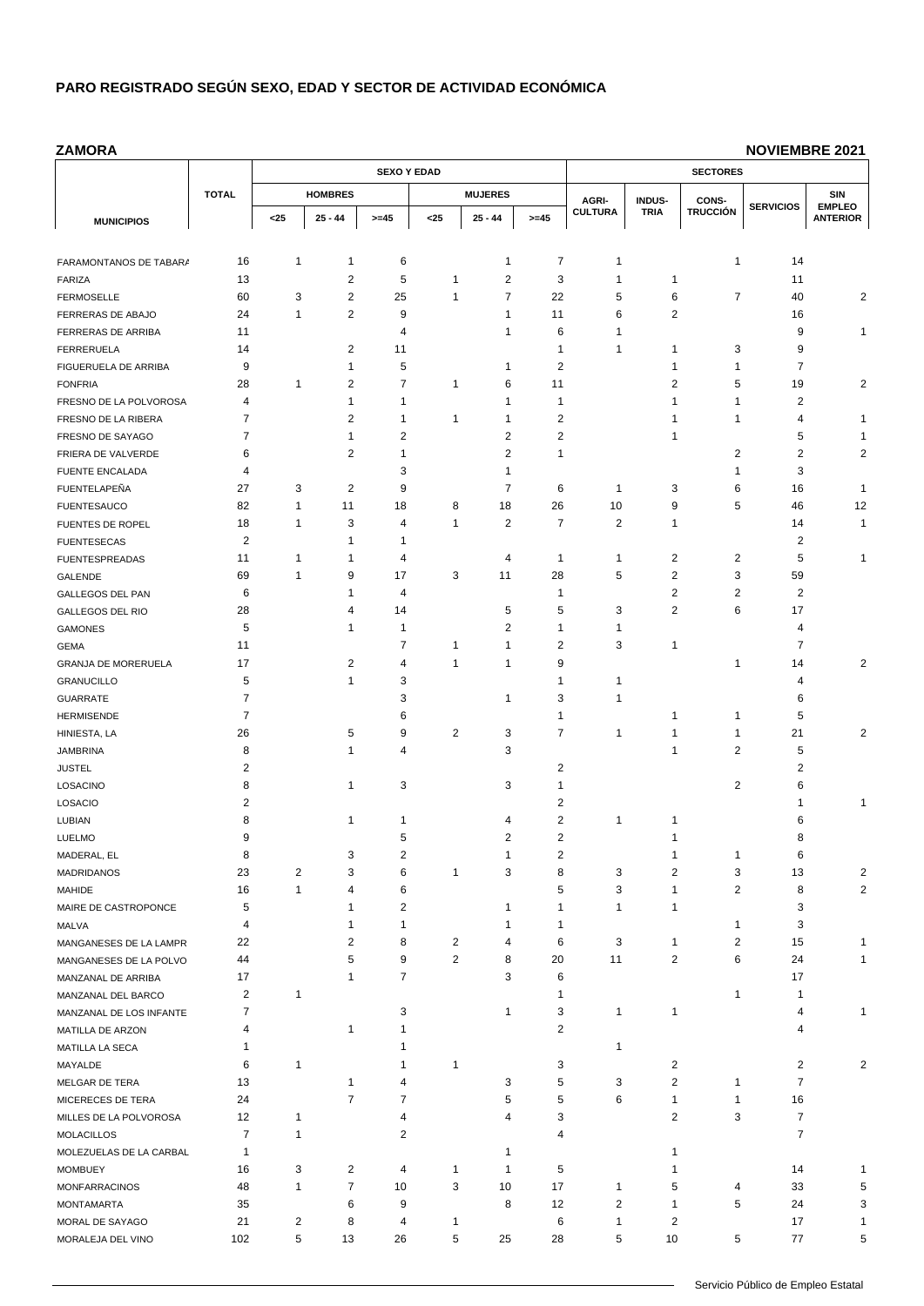#### **ZAMORA**

|                         |                |                         |                | <b>SEXO Y EDAD</b> |                         |                         |                | <b>SECTORES</b> |                |                 |                  |                                  |  |
|-------------------------|----------------|-------------------------|----------------|--------------------|-------------------------|-------------------------|----------------|-----------------|----------------|-----------------|------------------|----------------------------------|--|
|                         | <b>TOTAL</b>   |                         | <b>HOMBRES</b> |                    |                         | <b>MUJERES</b>          |                | AGRI-<br>INDUS- |                | CONS-           |                  | SIN                              |  |
| <b>MUNICIPIOS</b>       |                | $25$                    | $25 - 44$      | $>= 45$            | $25$                    | $25 - 44$               | $>= 45$        | <b>CULTURA</b>  | <b>TRIA</b>    | <b>TRUCCIÓN</b> | <b>SERVICIOS</b> | <b>EMPLEO</b><br><b>ANTERIOR</b> |  |
|                         |                |                         |                |                    |                         |                         |                |                 |                |                 |                  |                                  |  |
| FARAMONTANOS DE TABAR/  | 16             | 1                       | $\mathbf{1}$   | 6                  |                         | 1                       | 7              | $\overline{1}$  |                | 1               | 14               |                                  |  |
| FARIZA                  | 13             |                         | $\overline{c}$ | 5                  | 1                       | 2                       | 3              | 1               | 1              |                 | 11               |                                  |  |
| <b>FERMOSELLE</b>       | 60             | 3                       | $\overline{2}$ | 25                 | $\mathbf{1}$            | 7                       | 22             | 5               | 6              | 7               | 40               | 2                                |  |
| FERRERAS DE ABAJO       | 24             | 1                       | $\overline{c}$ | 9                  |                         | 1                       | 11             | 6               | 2              |                 | 16               |                                  |  |
| FERRERAS DE ARRIBA      | 11             |                         |                | 4                  |                         | 1                       | 6              | $\overline{1}$  |                |                 | 9                | 1                                |  |
| <b>FERRERUELA</b>       | 14             |                         | $\overline{c}$ | 11                 |                         |                         | 1              | 1               | 1              | 3               | 9                |                                  |  |
| FIGUERUELA DE ARRIBA    | 9              |                         | 1              | 5                  |                         | 1                       | 2              |                 | 1              | 1               | 7                |                                  |  |
| <b>FONFRIA</b>          | 28             | 1                       | $\overline{c}$ | $\overline{7}$     | 1                       | 6                       | 11             |                 | 2              | 5               | 19               | 2                                |  |
| FRESNO DE LA POLVOROSA  | 4              |                         | 1              | 1                  |                         | 1                       | 1              |                 | 1              | 1               | 2                |                                  |  |
| FRESNO DE LA RIBERA     | 7              |                         | $\overline{2}$ | 1                  | 1                       | 1                       | 2              |                 | 1              | 1               | 4                | 1                                |  |
| FRESNO DE SAYAGO        | 7              |                         | $\mathbf{1}$   | 2                  |                         | $\overline{2}$          | 2              |                 | 1              |                 | 5                | 1                                |  |
| FRIERA DE VALVERDE      | 6              |                         | $\overline{c}$ | 1                  |                         | $\overline{\mathbf{c}}$ | 1              |                 |                | $\overline{2}$  | 2                | $\overline{\mathbf{c}}$          |  |
| <b>FUENTE ENCALADA</b>  | 4              |                         |                | 3                  |                         | 1                       |                |                 |                | 1               | 3                |                                  |  |
| FUENTELAPEÑA            | 27             | 3                       | $\overline{2}$ | 9                  |                         | 7                       | 6              | $\mathbf 1$     | 3              | 6               | 16               | 1                                |  |
| <b>FUENTESAUCO</b>      | 82             | 1                       | 11             | 18                 | 8                       | 18                      | 26             | 10              | 9              | 5               | 46               | 12                               |  |
| FUENTES DE ROPEL        | 18             | 1                       | 3              | 4                  | $\mathbf{1}$            | 2                       | $\overline{7}$ | $\overline{2}$  | 1              |                 | 14               | 1                                |  |
| <b>FUENTESECAS</b>      | $\overline{2}$ |                         | $\mathbf{1}$   | 1                  |                         |                         |                |                 |                |                 | 2                |                                  |  |
| <b>FUENTESPREADAS</b>   | 11             | 1                       | 1              | 4                  |                         | 4                       | 1              | $\mathbf 1$     | $\overline{2}$ | 2               | 5                | 1                                |  |
| GALENDE                 | 69             | 1                       | 9              | 17                 | 3                       | 11                      | 28             | 5               | $\overline{2}$ | 3               | 59               |                                  |  |
| GALLEGOS DEL PAN        | 6              |                         | 1              | 4                  |                         |                         | 1              |                 | 2              | $\overline{2}$  | 2                |                                  |  |
| <b>GALLEGOS DEL RIO</b> | 28             |                         | $\overline{4}$ | 14                 |                         | 5                       | 5              | 3               | 2              | 6               | 17               |                                  |  |
| <b>GAMONES</b>          | 5              |                         | $\mathbf{1}$   | 1                  |                         | 2                       | 1              | 1               |                |                 | 4                |                                  |  |
| <b>GEMA</b>             | 11             |                         |                | 7                  | 1                       | 1                       | 2              | 3               | 1              |                 | 7                |                                  |  |
| GRANJA DE MORERUELA     | 17             |                         | $\overline{2}$ | 4                  | $\mathbf{1}$            | $\mathbf{1}$            | 9              |                 |                | 1               | 14               | 2                                |  |
| <b>GRANUCILLO</b>       | 5              |                         | 1              | 3                  |                         |                         | 1              | $\overline{1}$  |                |                 | 4                |                                  |  |
| <b>GUARRATE</b>         | $\overline{7}$ |                         |                | 3                  |                         | 1                       | 3              | $\mathbf{1}$    |                |                 | 6                |                                  |  |
| <b>HERMISENDE</b>       | 7              |                         |                | 6                  |                         |                         | 1              |                 | 1              | 1               | 5                |                                  |  |
| HINIESTA, LA            | 26             |                         | 5              | 9                  | $\overline{\mathbf{c}}$ | 3                       | 7              | $\mathbf{1}$    | 1              | 1               | 21               | 2                                |  |
| <b>JAMBRINA</b>         | 8              |                         | $\mathbf{1}$   | 4                  |                         | 3                       |                |                 | 1              | 2               | 5                |                                  |  |
| <b>JUSTEL</b>           | $\overline{2}$ |                         |                |                    |                         |                         | $\overline{c}$ |                 |                |                 | 2                |                                  |  |
| LOSACINO                | 8              |                         | 1              | 3                  |                         | 3                       | 1              |                 |                | 2               | 6                |                                  |  |
| LOSACIO                 | $\overline{2}$ |                         |                |                    |                         |                         | 2              |                 |                |                 |                  | 1                                |  |
| LUBIAN                  | 8              |                         | 1              | 1                  |                         | 4                       | 2              | $\overline{1}$  | 1              |                 | 6                |                                  |  |
| LUELMO                  | 9              |                         |                | 5                  |                         | 2                       | 2              |                 | 1              |                 | 8                |                                  |  |
| MADERAL, EL             | 8              |                         | 3              | $\mathfrak{p}$     |                         | 1                       | $\mathfrak{p}$ |                 | 1              | 1               | 6                |                                  |  |
| <b>MADRIDANOS</b>       | 23             | $\overline{\mathbf{c}}$ | 3              | 6                  | $\mathbf{1}$            | 3                       | 8              | 3               | $\overline{c}$ | 3               | 13               | 2                                |  |
| <b>MAHIDE</b>           | 16             | 1                       | 4              | 6                  |                         |                         | 5              | 3               | 1              | 2               | 8                | 2                                |  |
| MAIRE DE CASTROPONCE    | 5              |                         | $\mathbf{1}$   | $\overline{c}$     |                         | 1                       | $\mathbf{1}$   | $\mathbf{1}$    | 1              |                 | 3                |                                  |  |
| MALVA                   | 4              |                         | 1              | $\mathbf{1}$       |                         | 1                       | 1              |                 |                | 1               | 3                |                                  |  |
| MANGANESES DE LA LAMPR  | 22             |                         | 2              | 8                  | $\overline{2}$          | 4                       | 6              | 3               | 1              | $\overline{c}$  | 15               |                                  |  |
| MANGANESES DE LA POLVO  | 44             |                         | 5              | 9                  | $\overline{c}$          | 8                       | 20             | 11              | $\overline{c}$ | 6               | 24               |                                  |  |
| MANZANAL DE ARRIBA      | 17             |                         | $\mathbf{1}$   | 7                  |                         | 3                       | 6              |                 |                |                 | 17               |                                  |  |
| MANZANAL DEL BARCO      | 2              | 1                       |                |                    |                         |                         | 1              |                 |                | 1               | 1                |                                  |  |
| MANZANAL DE LOS INFANTE | 7              |                         |                | 3                  |                         | 1                       | 3              | $\mathbf{1}$    | 1              |                 | 4                |                                  |  |
| MATILLA DE ARZON        | 4              |                         | 1              | 1                  |                         |                         | 2              |                 |                |                 | 4                |                                  |  |
| MATILLA LA SECA         | 1              |                         |                | 1                  |                         |                         |                | $\mathbf{1}$    |                |                 |                  |                                  |  |
| MAYALDE                 | 6              | $\mathbf{1}$            |                | 1                  | $\mathbf{1}$            |                         | 3              |                 | 2              |                 | 2                | 2                                |  |
| MELGAR DE TERA          | 13             |                         | 1              | 4                  |                         | 3                       | 5              | 3               | $\mathbf{2}$   | 1               | $\overline{7}$   |                                  |  |
| MICERECES DE TERA       | 24             |                         | $\overline{7}$ | 7                  |                         | 5                       | 5              | 6               | $\mathbf{1}$   | 1               | 16               |                                  |  |
| MILLES DE LA POLVOROSA  | 12             | 1                       |                | 4                  |                         | 4                       | 3              |                 | 2              | 3               | $\overline{7}$   |                                  |  |
| <b>MOLACILLOS</b>       | 7              | 1                       |                | 2                  |                         |                         | 4              |                 |                |                 | 7                |                                  |  |
| MOLEZUELAS DE LA CARBAL | 1              |                         |                |                    |                         | 1                       |                |                 | 1              |                 |                  |                                  |  |
| <b>MOMBUEY</b>          | 16             | 3                       | 2              | 4                  | $\mathbf{1}$            | 1                       | 5              |                 | 1              |                 | 14               |                                  |  |
| <b>MONFARRACINOS</b>    | 48             | $\mathbf{1}$            | $\overline{7}$ | 10                 | 3                       | 10                      | 17             | $\mathbf{1}$    | 5              | 4               | 33               | 5                                |  |
| <b>MONTAMARTA</b>       | 35             |                         | 6              | 9                  |                         | 8                       | 12             | $\overline{c}$  | 1              | 5               | 24               | 3                                |  |
| MORAL DE SAYAGO         | 21             | $\overline{2}$          | 8              | 4                  | $\mathbf{1}$            |                         | 6              | $\mathbf{1}$    | $\overline{2}$ |                 | 17               | 1                                |  |
| MORALEJA DEL VINO       | 102            | 5                       | 13             | 26                 | 5                       | 25                      | 28             | 5               | 10             | 5               | 77               | 5                                |  |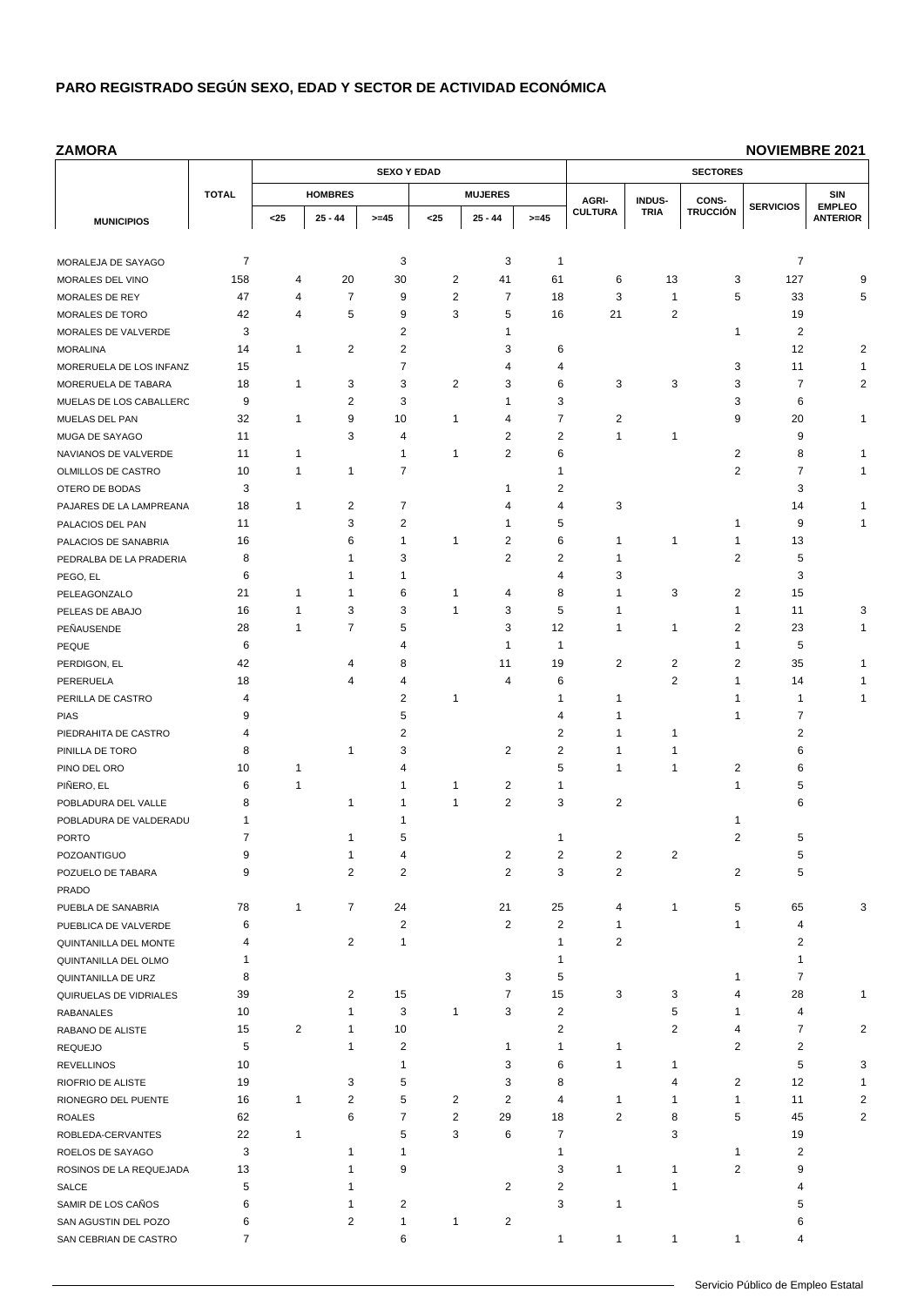**ZAMORA**

|                                        |                | <b>SEXO Y EDAD</b> |                |                |                |                         |                   | <b>SECTORES</b>                  |                |                 |                  |                                  |  |
|----------------------------------------|----------------|--------------------|----------------|----------------|----------------|-------------------------|-------------------|----------------------------------|----------------|-----------------|------------------|----------------------------------|--|
|                                        | <b>TOTAL</b>   |                    | <b>HOMBRES</b> |                |                | <b>MUJERES</b>          |                   | AGRI-                            | INDUS-         | CONS-           |                  | SIN                              |  |
| <b>MUNICIPIOS</b>                      |                | $25$               | $25 - 44$      | $>= 45$        | $25$           | $25 - 44$               | $>= 45$           | <b>CULTURA</b>                   | <b>TRIA</b>    | <b>TRUCCIÓN</b> | <b>SERVICIOS</b> | <b>EMPLEO</b><br><b>ANTERIOR</b> |  |
|                                        |                |                    |                |                |                |                         |                   |                                  |                |                 |                  |                                  |  |
| MORALEJA DE SAYAGO                     | $\overline{7}$ |                    |                | 3              |                | 3                       | 1                 |                                  |                |                 | 7                |                                  |  |
| MORALES DEL VINO                       | 158            | 4                  | 20             | 30             | 2              | 41                      | 61                | 6                                | 13             | 3               | 127              | 9                                |  |
| MORALES DE REY                         | 47             | 4                  | $\overline{7}$ | 9              | $\overline{2}$ | $\overline{7}$          | 18                | 3                                | 1              | 5               | 33               | 5                                |  |
| MORALES DE TORO                        | 42             | 4                  | 5              | 9              | 3              | 5                       | 16                | 21                               | $\overline{2}$ |                 | 19               |                                  |  |
| MORALES DE VALVERDE                    | 3              |                    |                | $\overline{2}$ |                | 1                       |                   |                                  |                | 1               | 2                |                                  |  |
| <b>MORALINA</b>                        | 14             | 1                  | 2              | 2              |                | 3                       | 6                 |                                  |                |                 | 12               | 2                                |  |
| MORERUELA DE LOS INFANZ                | 15             |                    |                | $\overline{7}$ |                | 4                       | 4                 |                                  |                | 3               | 11               | 1                                |  |
| MORERUELA DE TABARA                    | 18             | 1                  | 3              | 3              | 2              | 3                       | 6                 | 3                                | 3              | 3               | 7                | 2                                |  |
| MUELAS DE LOS CABALLERC                | 9              |                    | $\overline{c}$ | 3              |                | 1                       | 3                 |                                  |                | 3               | 6                |                                  |  |
| MUELAS DEL PAN                         | 32             | 1                  | 9              | 10             | 1              | 4                       | 7                 | 2                                |                | 9               | 20               | 1                                |  |
| MUGA DE SAYAGO                         | 11             |                    | 3              | 4              |                | 2                       | 2                 | $\mathbf{1}$                     | 1              |                 | 9                |                                  |  |
| NAVIANOS DE VALVERDE                   | 11             | 1                  |                | 1              | 1              | 2                       | 6                 |                                  |                | 2               | 8                | 1                                |  |
| OLMILLOS DE CASTRO                     | 10             | 1                  | 1              | 7              |                |                         | 1                 |                                  |                | $\overline{2}$  | $\overline{7}$   |                                  |  |
| OTERO DE BODAS                         | 3              |                    |                |                |                | 1                       | 2                 |                                  |                |                 | 3                |                                  |  |
| PAJARES DE LA LAMPREANA                | 18             | 1                  | $\overline{2}$ | $\overline{7}$ |                | 4                       | 4                 | 3                                |                |                 | 14               |                                  |  |
| PALACIOS DEL PAN                       | 11             |                    | 3              | 2              |                | 1                       | 5                 |                                  |                | 1               | 9                |                                  |  |
| PALACIOS DE SANABRIA                   | 16             |                    | 6              | 1              | 1              | 2                       | 6                 | $\mathbf{1}$                     | 1              | 1               | 13               |                                  |  |
| PEDRALBA DE LA PRADERIA                | 8              |                    | $\mathbf{1}$   | 3              |                | 2                       | 2                 | $\mathbf{1}$                     |                | 2               | 5                |                                  |  |
| PEGO, EL                               | 6              |                    | 1              | 1              |                |                         | 4                 | 3                                |                |                 | 3                |                                  |  |
| PELEAGONZALO                           | 21             | 1                  | 1              | 6              | 1              | 4                       | 8                 | $\mathbf 1$                      | 3              | 2               | 15               |                                  |  |
| PELEAS DE ABAJO                        | 16             | 1                  | 3              | 3              | 1              | 3                       | 5                 | 1                                |                | 1               | 11               | 3                                |  |
| PEÑAUSENDE                             | 28             | 1                  | 7              | 5              |                | 3                       | 12                | $\mathbf 1$                      | 1              | $\overline{2}$  | 23               | 1                                |  |
| PEQUE                                  | 6              |                    |                | 4              |                | 1                       | $\mathbf{1}$      |                                  |                | 1               | 5                |                                  |  |
| PERDIGON, EL                           | 42             |                    | 4              | 8              |                | 11                      | 19                | $\overline{c}$                   | $\overline{2}$ | $\overline{2}$  | 35               |                                  |  |
| PERERUELA                              | 18             |                    | 4              | 4              |                | 4                       | 6                 |                                  | $\overline{2}$ | 1               | 14               |                                  |  |
| PERILLA DE CASTRO                      | 4              |                    |                | 2              | 1              |                         | 1                 | $\mathbf 1$                      |                | 1               | 1                | 1                                |  |
| <b>PIAS</b>                            | 9              |                    |                | 5              |                |                         | 4                 | 1                                |                | 1               | 7                |                                  |  |
| PIEDRAHITA DE CASTRO                   | 4              |                    |                | 2              |                |                         | 2                 | 1                                | 1              |                 | 2                |                                  |  |
| PINILLA DE TORO                        | 8              |                    | 1              | 3              |                | 2                       | 2                 | $\overline{1}$<br>$\overline{1}$ | 1              |                 | 6                |                                  |  |
| PINO DEL ORO                           | 10             | 1<br>1             |                | 4<br>1         | 1              |                         | 5<br>$\mathbf{1}$ |                                  | 1              | 2<br>1          | 6<br>5           |                                  |  |
| PIÑERO, EL                             | 6<br>8         |                    | 1              | 1              | $\mathbf{1}$   | 2<br>$\overline{2}$     | 3                 | $\overline{2}$                   |                |                 | 6                |                                  |  |
| POBLADURA DEL VALLE                    | 1              |                    |                |                |                |                         |                   |                                  |                | 1               |                  |                                  |  |
| POBLADURA DE VALDERADU<br><b>PORTO</b> | 7              |                    | 1              | 5              |                |                         | 1                 |                                  |                | $\overline{2}$  | 5                |                                  |  |
| POZOANTIGUO                            | 9              |                    | 1              | 4              |                | 2                       | 2                 | 2                                | 2              |                 | 5                |                                  |  |
| POZUELO DE TABARA                      | 9              |                    | $\overline{2}$ | $\overline{c}$ |                | $\overline{\mathbf{c}}$ | 3                 | $\sqrt{2}$                       |                | $\overline{2}$  | 5                |                                  |  |
| <b>PRADO</b>                           |                |                    |                |                |                |                         |                   |                                  |                |                 |                  |                                  |  |
| PUEBLA DE SANABRIA                     | 78             | 1                  | $\overline{7}$ | 24             |                | 21                      | 25                | 4                                | 1              | 5               | 65               | 3                                |  |
| PUEBLICA DE VALVERDE                   | 6              |                    |                | $\overline{c}$ |                | 2                       | $\overline{c}$    | $\mathbf{1}$                     |                | 1               | 4                |                                  |  |
| QUINTANILLA DEL MONTE                  | 4              |                    | $\overline{2}$ | 1              |                |                         | 1                 | $\overline{c}$                   |                |                 | 2                |                                  |  |
| QUINTANILLA DEL OLMO                   | 1              |                    |                |                |                |                         | 1                 |                                  |                |                 | 1                |                                  |  |
| QUINTANILLA DE URZ                     | 8              |                    |                |                |                | 3                       | 5                 |                                  |                | 1               | $\overline{7}$   |                                  |  |
| QUIRUELAS DE VIDRIALES                 | 39             |                    | 2              | 15             |                | 7                       | 15                | 3                                | 3              | 4               | 28               | 1                                |  |
| <b>RABANALES</b>                       | 10             |                    | 1              | 3              | $\mathbf{1}$   | 3                       | $\mathbf 2$       |                                  | 5              | 1               | 4                |                                  |  |
| RABANO DE ALISTE                       | 15             | $\overline{2}$     | 1              | 10             |                |                         | 2                 |                                  | 2              | 4               | $\overline{7}$   | 2                                |  |
| <b>REQUEJO</b>                         | 5              |                    | 1              | $\overline{c}$ |                | 1                       | 1                 | $\mathbf 1$                      |                | 2               | 2                |                                  |  |
| <b>REVELLINOS</b>                      | 10             |                    |                | 1              |                | 3                       | 6                 | $\mathbf{1}$                     | 1              |                 | 5                | 3                                |  |
| RIOFRIO DE ALISTE                      | 19             |                    | 3              | 5              |                | 3                       | 8                 |                                  | 4              | $\overline{2}$  | 12               | 1                                |  |
| RIONEGRO DEL PUENTE                    | 16             | 1                  | $\overline{2}$ | 5              | 2              | 2                       | 4                 | $\mathbf{1}$                     | 1              | 1               | 11               | 2                                |  |
| <b>ROALES</b>                          | 62             |                    | 6              | 7              | $\overline{2}$ | 29                      | 18                | $\overline{2}$                   | 8              | 5               | 45               | 2                                |  |
| ROBLEDA-CERVANTES                      | 22             | 1                  |                | 5              | 3              | 6                       | 7                 |                                  | 3              |                 | 19               |                                  |  |
| ROELOS DE SAYAGO                       | 3              |                    | 1              | 1              |                |                         | 1                 |                                  |                | 1               | 2                |                                  |  |
| ROSINOS DE LA REQUEJADA                | 13             |                    | $\mathbf{1}$   | 9              |                |                         | 3                 | $\mathbf{1}$                     | 1              | 2               | 9                |                                  |  |
| SALCE                                  | 5              |                    | 1              |                |                | 2                       | 2                 |                                  | 1              |                 | 4                |                                  |  |
| SAMIR DE LOS CAÑOS                     | 6              |                    | 1              | $\overline{c}$ |                |                         | 3                 | $\mathbf{1}$                     |                |                 | 5                |                                  |  |
| SAN AGUSTIN DEL POZO                   | 6              |                    | $\overline{2}$ | $\mathbf{1}$   | $\mathbf{1}$   | 2                       |                   |                                  |                |                 | 6                |                                  |  |
| SAN CEBRIAN DE CASTRO                  | 7              |                    |                | 6              |                |                         | 1                 | $\mathbf{1}$                     | $\mathbf{1}$   | 1               | 4                |                                  |  |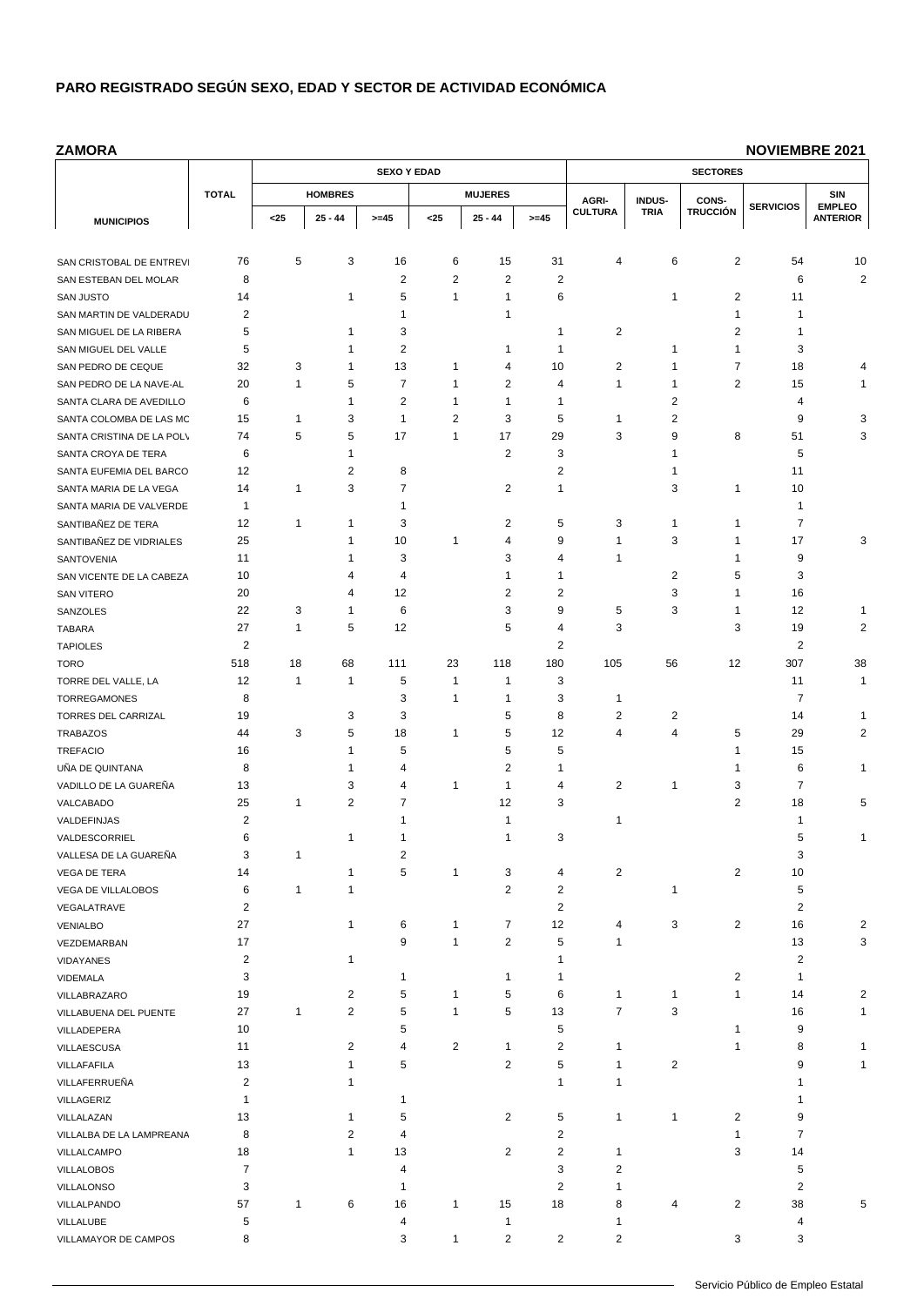**ZAMORA**

|                                              |                | <b>SEXO Y EDAD</b> |                     |                |                |                         |                         | <b>SECTORES</b> |                 |                         |                  |                                  |  |
|----------------------------------------------|----------------|--------------------|---------------------|----------------|----------------|-------------------------|-------------------------|-----------------|-----------------|-------------------------|------------------|----------------------------------|--|
|                                              | <b>TOTAL</b>   |                    | <b>HOMBRES</b>      |                |                | <b>MUJERES</b>          |                         | AGRI-           | INDUS-<br>CONS- |                         |                  | SIN                              |  |
| <b>MUNICIPIOS</b>                            |                | $25$               | $25 - 44$           | $>= 45$        | $25$           | $25 - 44$               | $>= 45$                 | <b>CULTURA</b>  | <b>TRIA</b>     | <b>TRUCCIÓN</b>         | <b>SERVICIOS</b> | <b>EMPLEO</b><br><b>ANTERIOR</b> |  |
|                                              |                |                    |                     |                |                |                         |                         |                 |                 |                         |                  |                                  |  |
| SAN CRISTOBAL DE ENTREV                      | 76             | 5                  | 3                   | 16             | 6              | 15                      | 31                      | 4               | 6               | $\overline{2}$          | 54               | 10                               |  |
| SAN ESTEBAN DEL MOLAR                        | 8              |                    |                     | 2              | 2              | 2                       | 2                       |                 |                 |                         | 6                | 2                                |  |
| <b>SAN JUSTO</b>                             | 14             |                    | 1                   | 5              | $\mathbf{1}$   | 1                       | 6                       |                 | 1               | 2                       | 11               |                                  |  |
| SAN MARTIN DE VALDERADU                      | 2              |                    |                     | 1              |                | 1                       |                         |                 |                 | 1                       | 1                |                                  |  |
| SAN MIGUEL DE LA RIBERA                      | 5              |                    | 1                   | 3              |                |                         | 1                       | $\overline{2}$  |                 | $\overline{2}$          | 1                |                                  |  |
| SAN MIGUEL DEL VALLE                         | 5              |                    | 1                   | 2              |                | 1                       | 1                       |                 | 1               | 1                       | 3                |                                  |  |
| SAN PEDRO DE CEQUE                           | 32             | 3                  | 1                   | 13             | 1              | 4                       | 10                      | $\overline{2}$  | 1               | 7                       | 18               | 4                                |  |
| SAN PEDRO DE LA NAVE-AL                      | 20             | 1                  | 5                   | $\overline{7}$ | $\mathbf{1}$   | 2                       | 4                       | $\overline{1}$  | 1               | 2                       | 15               | 1                                |  |
| SANTA CLARA DE AVEDILLO                      | 6              |                    | $\mathbf{1}$        | $\overline{2}$ | 1              | $\mathbf{1}$            | 1                       |                 | 2               |                         | 4                |                                  |  |
| SANTA COLOMBA DE LAS MC                      | 15             | 1                  | 3                   | $\mathbf{1}$   | 2              | 3                       | 5                       | $\overline{1}$  | 2               |                         | 9                | 3                                |  |
| SANTA CRISTINA DE LA POL\                    | 74             | 5                  | 5                   | 17             | $\mathbf{1}$   | 17                      | 29                      | 3               | 9               | 8                       | 51               | 3                                |  |
| SANTA CROYA DE TERA                          | 6              |                    | 1                   |                |                | 2                       | 3                       |                 | 1               |                         | 5                |                                  |  |
| SANTA EUFEMIA DEL BARCO                      | 12             |                    | $\overline{2}$      | 8              |                |                         | 2                       |                 | 1               |                         | 11               |                                  |  |
| SANTA MARIA DE LA VEGA                       | 14             | 1                  | 3                   | 7              |                | 2                       | 1                       |                 | 3               | 1                       | 10               |                                  |  |
| SANTA MARIA DE VALVERDE                      | $\mathbf{1}$   |                    |                     | 1              |                |                         |                         |                 |                 |                         | 1                |                                  |  |
| SANTIBAÑEZ DE TERA                           | 12             | 1                  | 1                   | 3              |                | 2                       | 5                       | 3               | 1               | 1                       | 7                |                                  |  |
| SANTIBAÑEZ DE VIDRIALES                      | 25             |                    | $\mathbf{1}$        | 10             | $\mathbf{1}$   | 4                       | 9                       | $\overline{1}$  | 3               | 1                       | 17               | 3                                |  |
| SANTOVENIA                                   | 11             |                    | $\mathbf{1}$        | 3              |                | 3                       | 4                       | $\overline{1}$  |                 | 1                       | 9                |                                  |  |
| SAN VICENTE DE LA CABEZA                     | 10             |                    | 4                   | 4              |                | 1                       | 1                       |                 | 2               | 5                       | 3                |                                  |  |
| <b>SAN VITERO</b>                            | 20             |                    | 4                   | 12             |                | 2                       | 2                       |                 | 3               | 1                       | 16               |                                  |  |
| SANZOLES                                     | 22             | 3                  | $\mathbf{1}$        | 6              |                | 3                       | 9                       | 5               | 3               | 1                       | 12               | 1                                |  |
| <b>TABARA</b>                                | 27             | 1                  | 5                   | 12             |                | 5                       | 4                       | 3               |                 | 3                       | 19               | 2                                |  |
| <b>TAPIOLES</b>                              | 2              |                    |                     |                |                |                         | 2                       |                 |                 |                         | 2                |                                  |  |
| <b>TORO</b>                                  | 518            | 18                 | 68                  | 111            | 23             | 118                     | 180                     | 105             | 56              | 12                      | 307              | 38                               |  |
| TORRE DEL VALLE, LA                          | 12             | 1                  | 1                   | 5              | $\mathbf{1}$   | 1                       | 3                       |                 |                 |                         | 11               | 1                                |  |
| TORREGAMONES                                 | 8              |                    |                     | 3              | $\mathbf 1$    | 1                       | 3                       | $\mathbf 1$     |                 |                         | 7                |                                  |  |
| TORRES DEL CARRIZAL                          | 19             |                    | 3                   | 3              |                | 5                       | 8                       | 2               | 2               |                         | 14               | 1                                |  |
| <b>TRABAZOS</b>                              | 44             | 3                  | 5                   | 18             | 1              | 5                       | 12                      | 4               | 4               | 5                       | 29               | $\overline{c}$                   |  |
| <b>TREFACIO</b>                              | 16             |                    | $\mathbf{1}$        | 5              |                | 5                       | 5                       |                 |                 | 1                       | 15               |                                  |  |
| UÑA DE QUINTANA                              | 8              |                    | 1                   | 4              |                | $\overline{2}$          | 1                       |                 |                 | 1                       | 6                | 1                                |  |
| VADILLO DE LA GUAREÑA                        | 13             |                    | 3<br>$\overline{2}$ | 4<br>7         | $\mathbf{1}$   | 1                       | 4                       | 2               | 1               | 3<br>$\overline{2}$     | 7                |                                  |  |
| VALCABADO                                    | 25             | 1                  |                     |                |                | 12<br>1                 | 3                       | $\mathbf{1}$    |                 |                         | 18<br>1          | 5                                |  |
| VALDEFINJAS                                  | 2<br>6         |                    | 1                   | 1              |                | 1                       | 3                       |                 |                 |                         | 5                | 1                                |  |
| VALDESCORRIEL                                | 3              | 1                  |                     | 2              |                |                         |                         |                 |                 |                         | 3                |                                  |  |
| VALLESA DE LA GUAREÑA<br><b>VEGA DE TERA</b> | 14             |                    | 1                   | 5              | 1              | 3                       | 4                       | $\sqrt{2}$      |                 | $\overline{\mathbf{c}}$ | 10               |                                  |  |
| VEGA DE VILLALOBOS                           | 6              | 1                  | $\mathbf{1}$        |                |                | 2                       | $\overline{2}$          |                 | 1               |                         | 5                |                                  |  |
| VEGALATRAVE                                  | $\overline{2}$ |                    |                     |                |                |                         | $\overline{c}$          |                 |                 |                         | $\overline{2}$   |                                  |  |
| <b>VENIALBO</b>                              | 27             |                    | $\mathbf{1}$        | 6              | $\mathbf{1}$   | $\overline{7}$          | 12                      | 4               | 3               | 2                       | 16               | $\overline{c}$                   |  |
| VEZDEMARBAN                                  | 17             |                    |                     | 9              | $\mathbf{1}$   | $\overline{2}$          | 5                       | $\overline{1}$  |                 |                         | 13               | 3                                |  |
| <b>VIDAYANES</b>                             | $\overline{c}$ |                    | $\mathbf{1}$        |                |                |                         | 1                       |                 |                 |                         | 2                |                                  |  |
| <b>VIDEMALA</b>                              | 3              |                    |                     | 1              |                | 1                       | 1                       |                 |                 | 2                       | 1                |                                  |  |
| VILLABRAZARO                                 | 19             |                    | $\overline{2}$      | 5              | $\mathbf{1}$   | 5                       | 6                       | $\mathbf{1}$    | 1               | 1                       | 14               | $\overline{c}$                   |  |
| VILLABUENA DEL PUENTE                        | 27             | $\mathbf{1}$       | $\overline{2}$      | 5              | $\mathbf{1}$   | 5                       | 13                      | $\overline{7}$  | 3               |                         | 16               | 1                                |  |
| VILLADEPERA                                  | 10             |                    |                     | 5              |                |                         | 5                       |                 |                 | 1                       | 9                |                                  |  |
| VILLAESCUSA                                  | 11             |                    | $\overline{c}$      | 4              | $\overline{2}$ | 1                       | $\overline{c}$          | $\mathbf{1}$    |                 | 1                       | 8                | 1                                |  |
| VILLAFAFILA                                  | 13             |                    | $\mathbf{1}$        | 5              |                | 2                       | 5                       | $\mathbf{1}$    | 2               |                         | 9                | 1                                |  |
| VILLAFERRUEÑA                                | $\overline{c}$ |                    | $\mathbf{1}$        |                |                |                         | $\mathbf{1}$            | $\mathbf{1}$    |                 |                         | 1                |                                  |  |
| VILLAGERIZ                                   | $\mathbf{1}$   |                    |                     | 1              |                |                         |                         |                 |                 |                         | 1                |                                  |  |
| VILLALAZAN                                   | 13             |                    | $\mathbf{1}$        | 5              |                | $\overline{2}$          | 5                       | $\mathbf{1}$    | 1               | 2                       | 9                |                                  |  |
| VILLALBA DE LA LAMPREANA                     | 8              |                    | $\overline{2}$      | 4              |                |                         | $\overline{2}$          |                 |                 | 1                       | 7                |                                  |  |
| VILLALCAMPO                                  | 18             |                    | $\mathbf{1}$        | 13             |                | $\overline{\mathbf{c}}$ | $\overline{\mathbf{c}}$ | $\mathbf{1}$    |                 | 3                       | 14               |                                  |  |
| <b>VILLALOBOS</b>                            | $\overline{7}$ |                    |                     | 4              |                |                         | 3                       | $\overline{2}$  |                 |                         | 5                |                                  |  |
| VILLALONSO                                   | 3              |                    |                     | 1              |                |                         | $\overline{c}$          | 1               |                 |                         | $\overline{2}$   |                                  |  |
| VILLALPANDO                                  | 57             | 1                  | 6                   | 16             | $\mathbf{1}$   | 15                      | 18                      | 8               | 4               | 2                       | 38               | 5                                |  |
| VILLALUBE                                    | 5              |                    |                     | 4              |                | 1                       |                         | $\mathbf{1}$    |                 |                         | 4                |                                  |  |
| VILLAMAYOR DE CAMPOS                         | 8              |                    |                     | 3              | $\mathbf{1}$   | 2                       | $\overline{2}$          | $\overline{2}$  |                 | 3                       | 3                |                                  |  |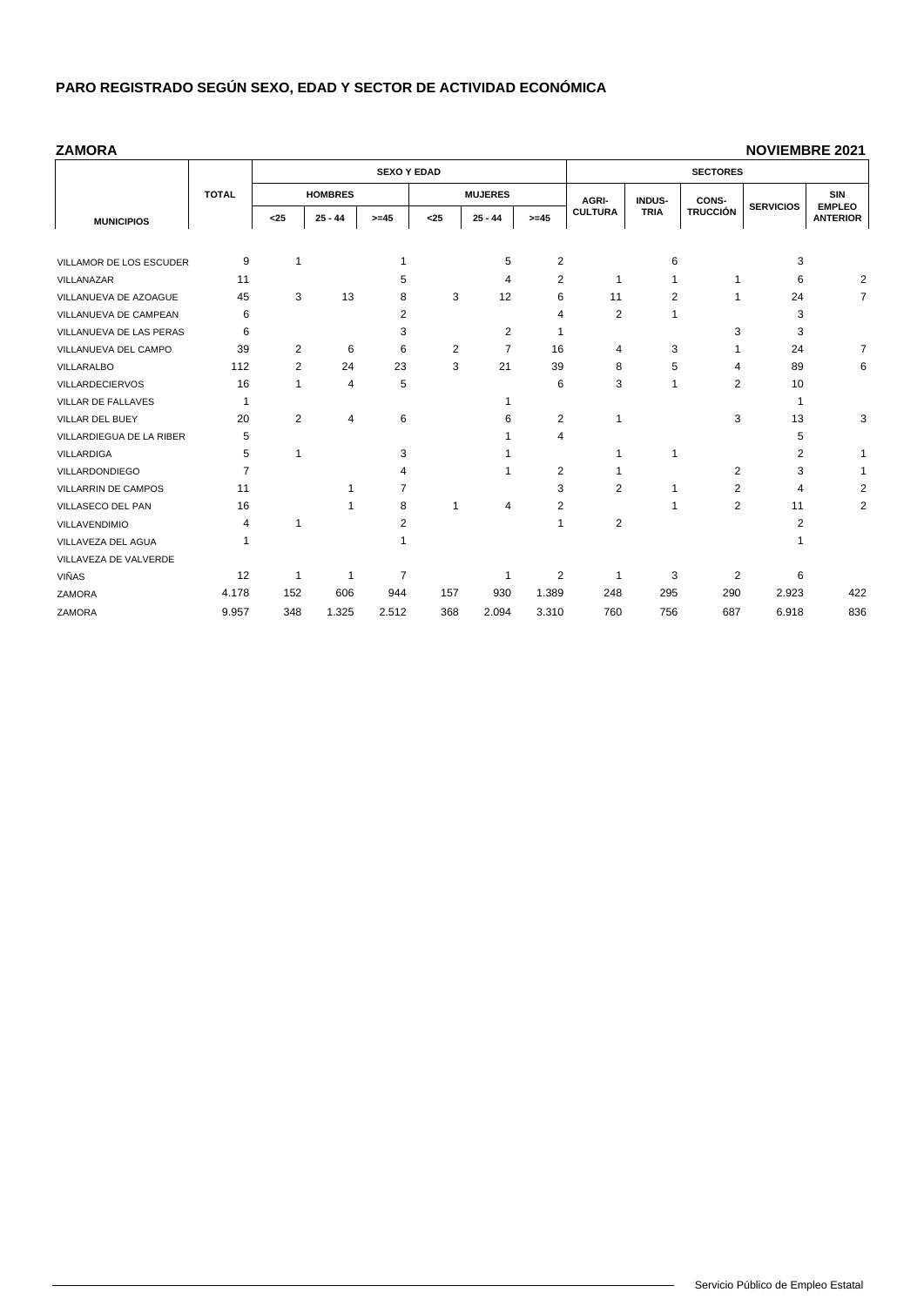#### **ZAMORA**

|                          |                |                |                | <b>SEXO Y EDAD</b> |      |                | <b>SECTORES</b> |                |               |                 |                  |                                  |  |
|--------------------------|----------------|----------------|----------------|--------------------|------|----------------|-----------------|----------------|---------------|-----------------|------------------|----------------------------------|--|
|                          | <b>TOTAL</b>   |                | <b>HOMBRES</b> |                    |      | <b>MUJERES</b> |                 | AGRI-          | <b>INDUS-</b> | CONS-           |                  | <b>SIN</b>                       |  |
| <b>MUNICIPIOS</b>        |                | $25$           | $25 - 44$      | $>= 45$            | $25$ | $25 - 44$      | $>= 45$         | <b>CULTURA</b> | <b>TRIA</b>   | <b>TRUCCIÓN</b> | <b>SERVICIOS</b> | <b>EMPLEO</b><br><b>ANTERIOR</b> |  |
|                          |                |                |                |                    |      |                |                 |                |               |                 |                  |                                  |  |
| VILLAMOR DE LOS ESCUDER  | 9              | $\mathbf{1}$   |                |                    |      | 5              | $\overline{2}$  |                | 6             |                 | 3                |                                  |  |
| VILLANAZAR               | 11             |                |                | 5                  |      | 4              | 2               | -1             |               | 1               | 6                | 2                                |  |
| VILLANUEVA DE AZOAGUE    | 45             | 3              | 13             | 8                  | 3    | 12             | 6               | 11             | 2             | 1               | 24               | $\overline{7}$                   |  |
| VILLANUEVA DE CAMPEAN    | 6              |                |                | 2                  |      |                | 4               | $\overline{2}$ |               |                 | 3                |                                  |  |
| VILLANUEVA DE LAS PERAS  | 6              |                |                | 3                  |      | 2              |                 |                |               | 3               | 3                |                                  |  |
| VILLANUEVA DEL CAMPO     | 39             | 2              | 6              | 6                  | 2    | $\overline{7}$ | 16              | 4              | 3             |                 | 24               | 7                                |  |
| VILLARALBO               | 112            | 2              | 24             | 23                 | 3    | 21             | 39              | 8              | 5             | 4               | 89               | 6                                |  |
| <b>VILLARDECIERVOS</b>   | 16             | 1              | 4              | 5                  |      |                | 6               | 3              |               | 2               | 10               |                                  |  |
| VILLAR DE FALLAVES       | -1             |                |                |                    |      |                |                 |                |               |                 | 1                |                                  |  |
| VILLAR DEL BUEY          | 20             | $\overline{2}$ | 4              | 6                  |      | 6              | $\overline{c}$  | 1              |               | 3               | 13               | 3                                |  |
| VILLARDIEGUA DE LA RIBER | 5              |                |                |                    |      |                | 4               |                |               |                 | 5                |                                  |  |
| <b>VILLARDIGA</b>        | 5              |                |                | 3                  |      |                |                 |                |               |                 | 2                |                                  |  |
| <b>VILLARDONDIEGO</b>    | $\overline{7}$ |                |                | 4                  |      | 1              | 2               |                |               | 2               | 3                |                                  |  |
| VILLARRIN DE CAMPOS      | 11             |                |                | 7                  |      |                | 3               | 2              |               | 2               | 4                | 2                                |  |
| VILLASECO DEL PAN        | 16             |                |                | 8                  | 1    | 4              | 2               |                |               | 2               | 11               | 2                                |  |
| <b>VILLAVENDIMIO</b>     | 4              | 1              |                | 2                  |      |                | $\mathbf 1$     | 2              |               |                 | 2                |                                  |  |
| VILLAVEZA DEL AGUA       | 1              |                |                |                    |      |                |                 |                |               |                 |                  |                                  |  |
| VILLAVEZA DE VALVERDE    |                |                |                |                    |      |                |                 |                |               |                 |                  |                                  |  |
| VIÑAS                    | 12             | 1              | 1              | $\overline{7}$     |      | 1              | $\overline{2}$  | $\mathbf 1$    | 3             | 2               | 6                |                                  |  |
| <b>ZAMORA</b>            | 4.178          | 152            | 606            | 944                | 157  | 930            | 1.389           | 248            | 295           | 290             | 2.923            | 422                              |  |
| ZAMORA                   | 9.957          | 348            | 1.325          | 2.512              | 368  | 2.094          | 3.310           | 760            | 756           | 687             | 6.918            | 836                              |  |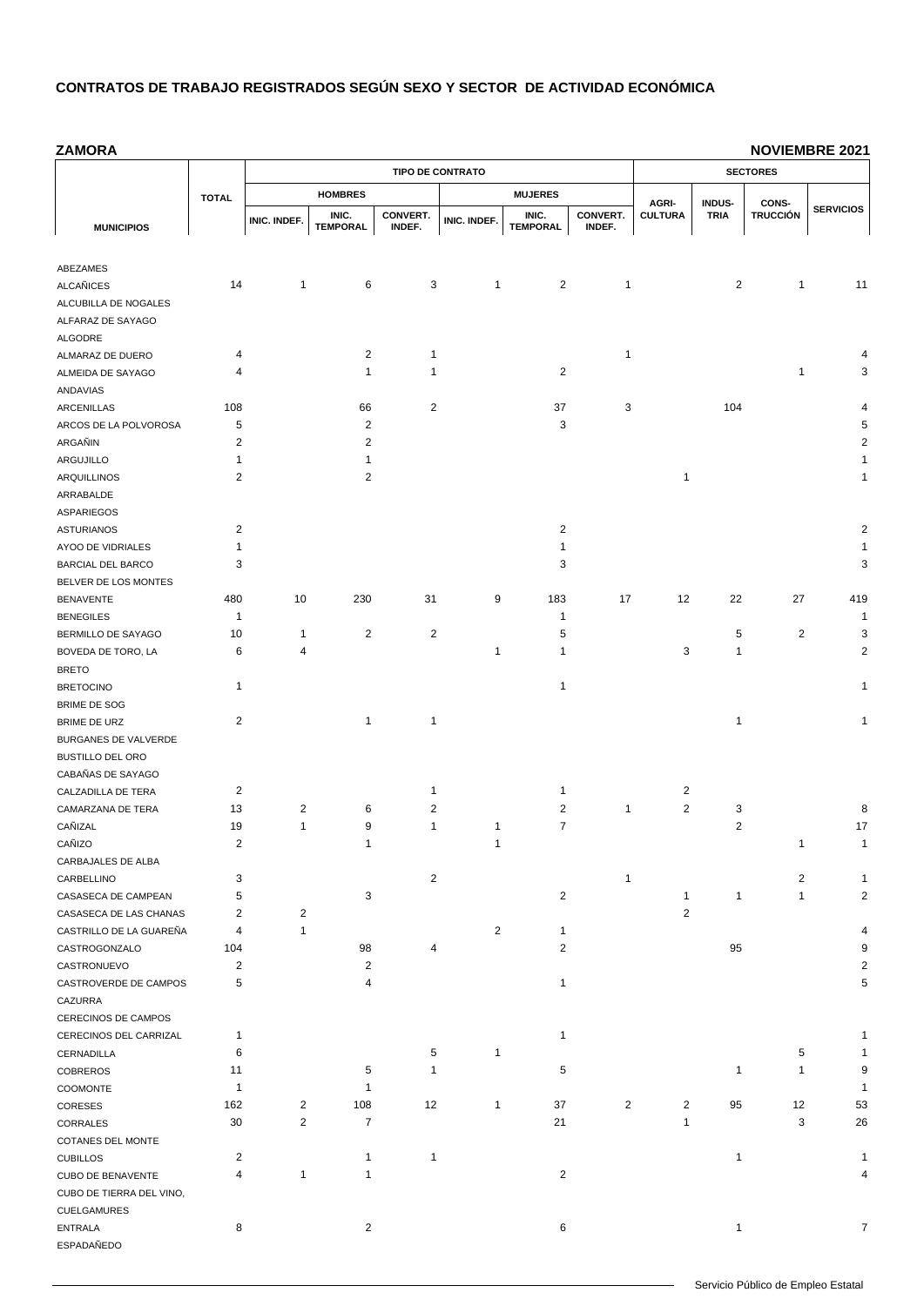**ZAMORA MUNICIPIOS TOTAL TIPO DE CONTRATO SECTORES HOMBRES MUJERES AGRI-CULTURA INDUS-TRIA CONS-TRUCCIÓN SERVICIOS INIC. INDEF. INIC. TEMPORAL CONVERT. INDEF. INIC. INDEF. INIC. TEMPORAL CONVERT. INDEF.** ABEZAMES ALCAÑICES 14 1 6 3 1 2 1 2 1 11 ALCUBILLA DE NOGALES ALFARAZ DE SAYAGO ALGODRE ALMARAZ DE DUERO 4 2 1 1 4 ALMEIDA DE SAYAGO 4 1 1 2 1 3 ANDAVIAS ARCENILLAS 108 66 2 37 3 104 4 ARCOS DE LA POLVOROSA 5 2 3 5 ARGAÑIN 2 2 2 ARGUJILLO 1 1 1 ARQUILLINOS 2 2 1 1 ARRABALDE ASPARIEGOS ASTURIANOS 2 2 2 AYOO DE VIDRIALES 1 1 1 BARCIAL DEL BARCO 3 3 3 BELVER DE LOS MONTES BENAVENTE 480 10 230 31 9 183 17 12 22 27 419 BENEGILES 1 1 1 BERMILLO DE SAYAGO 10 1 2 2 5 5 5 2 3 BOVEDA DE TORO, LA 6 4 1 1 1 3 1 2 BRETO BRETOCINO 1 1 1 BRIME DE SOG BRIME DE URZ 2 1 1 1 1 BURGANES DE VALVERDE BUSTILLO DEL ORO CABAÑAS DE SAYAGO CALZADILLA DE TERA  $2$  1 1 2 2 CAMARZANA DE TERA 13 2 6 2 2 1 2 3 8 CAÑIZAL 19 1 9 1 1 7 2 17 CAÑIZO 2 1 1 1 1 CARBAJALES DE ALBA CARBELLINO 3 2 1 2 1 CASASECA DE CAMPEAN 5 3 3 3 2 1 1 1 2 CASASECA DE LAS CHANAS 2 2 2 CASTRILLO DE LA GUAREÑA 4 1 2 1 4 CASTROGONZALO 104 98 4 2 95 9 CASTRONUEVO 2 2 2 CASTROVERDE DE CAMPOS 5 4 1 5 CAZURRA CERECINOS DE CAMPOS **NOVIEMBRE 2021**

CERECINOS DEL CARRIZAL 1 1 1  $CERNADILLA$  6 6 5 1 5 5 1 11 5 1 1 9 1 1 9 COBREROS 1 1 1 1 9 COOMONTE 1 1 1 CORESES 162 2 108 12 1 37 2 2 95 12 53 1 3 26 26 27 21 21 3 26 26 27 221 221 3 26

CUBILLOS 2 1 1 1 1 CUBO DE BENAVENTE 4 1 1 2 4

ENTRALA  $8$  8 2 2 6 6 1 7 7

COTANES DEL MONTE

CUELGAMURES

ESPADAÑEDO

CUBO DE TIERRA DEL VINO,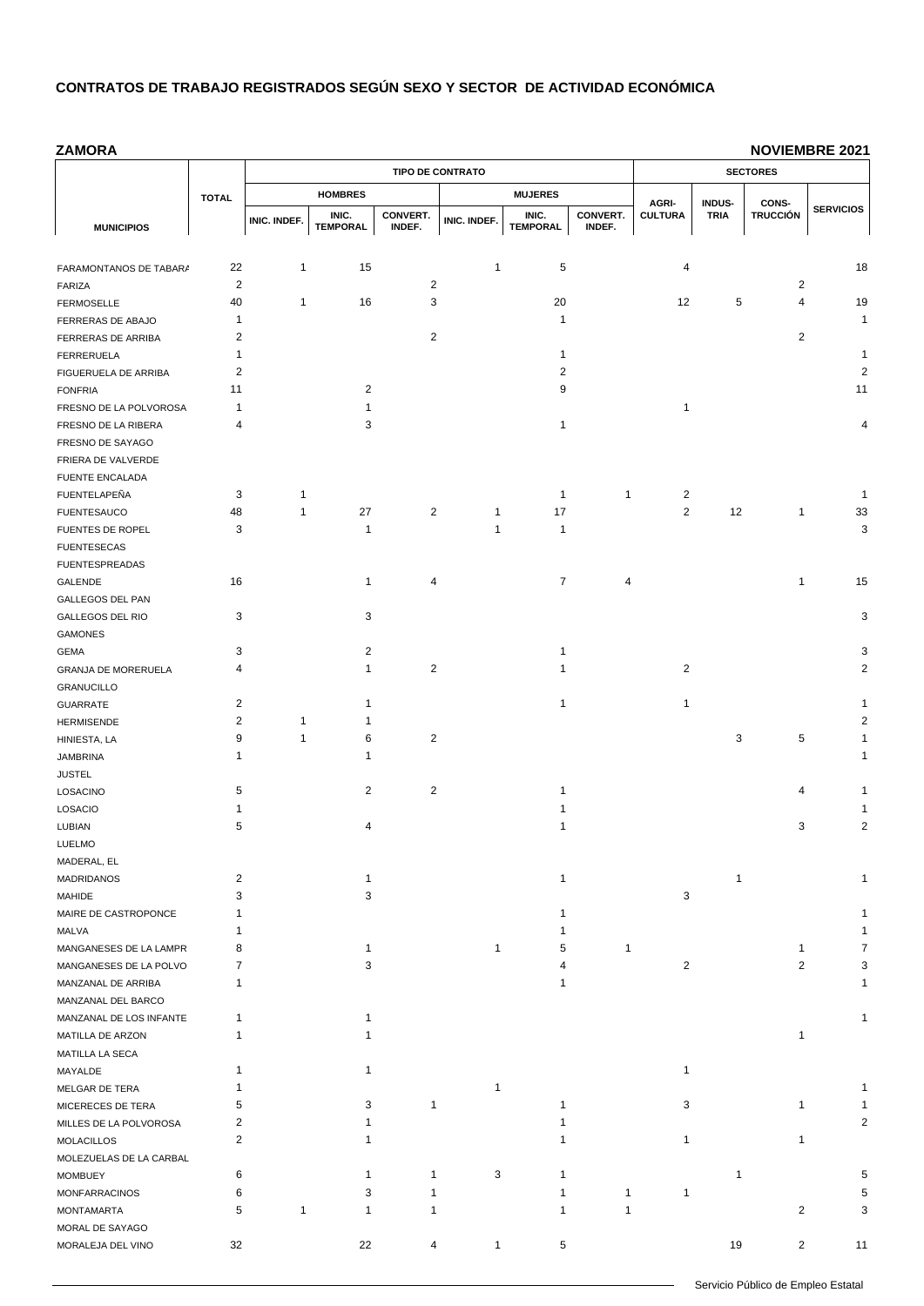**ZAMORA**

|                                        |                         |              |                 | <b>TIPO DE CONTRATO</b> |              | <b>SECTORES</b> |              |                         |                              |                          |                  |
|----------------------------------------|-------------------------|--------------|-----------------|-------------------------|--------------|-----------------|--------------|-------------------------|------------------------------|--------------------------|------------------|
|                                        | <b>TOTAL</b>            |              | <b>HOMBRES</b>  |                         |              | <b>MUJERES</b>  |              |                         |                              |                          |                  |
|                                        |                         |              | INIC.           | CONVERT.                |              | INIC.           | CONVERT.     | AGRI-<br><b>CULTURA</b> | <b>INDUS-</b><br><b>TRIA</b> | CONS-<br><b>TRUCCIÓN</b> | <b>SERVICIOS</b> |
| <b>MUNICIPIOS</b>                      |                         | INIC. INDEF. | <b>TEMPORAL</b> | INDEF.                  | INIC. INDEF. | <b>TEMPORAL</b> | INDEF.       |                         |                              |                          |                  |
|                                        |                         |              |                 |                         |              |                 |              |                         |                              |                          |                  |
| FARAMONTANOS DE TABAR/                 | 22                      | 1            | 15              |                         | 1            | 5               |              | 4                       |                              |                          | 18               |
| FARIZA                                 | 2                       |              |                 | $\overline{2}$          |              |                 |              |                         |                              | 2                        |                  |
| <b>FERMOSELLE</b>                      | 40                      | $\mathbf{1}$ | 16              | 3                       |              | 20              |              | 12                      | 5                            | 4                        | 19               |
| FERRERAS DE ABAJO                      | 1                       |              |                 |                         |              | $\mathbf{1}$    |              |                         |                              |                          | 1                |
| FERRERAS DE ARRIBA                     | $\overline{2}$          |              |                 | $\overline{2}$          |              |                 |              |                         |                              | 2                        |                  |
| FERRERUELA                             | 1                       |              |                 |                         |              | 1               |              |                         |                              |                          | 1                |
| FIGUERUELA DE ARRIBA                   | $\overline{c}$          |              |                 |                         |              | 2               |              |                         |                              |                          | $\overline{c}$   |
| <b>FONFRIA</b>                         | 11                      |              | 2               |                         |              | 9               |              |                         |                              |                          | 11               |
| FRESNO DE LA POLVOROSA                 | 1                       |              | 1               |                         |              |                 |              | 1                       |                              |                          |                  |
| FRESNO DE LA RIBERA                    | 4                       |              | 3               |                         |              | 1               |              |                         |                              |                          | 4                |
| FRESNO DE SAYAGO                       |                         |              |                 |                         |              |                 |              |                         |                              |                          |                  |
| FRIERA DE VALVERDE                     |                         |              |                 |                         |              |                 |              |                         |                              |                          |                  |
| <b>FUENTE ENCALADA</b><br>FUENTELAPEÑA | 3                       | 1            |                 |                         |              | $\mathbf{1}$    | $\mathbf{1}$ | $\overline{2}$          |                              |                          | 1                |
|                                        | 48                      | $\mathbf{1}$ | 27              | $\overline{2}$          | 1            | 17              |              | 2                       | 12                           | 1                        | 33               |
| <b>FUENTESAUCO</b>                     |                         |              |                 |                         |              |                 |              |                         |                              |                          |                  |
| FUENTES DE ROPEL                       | 3                       |              | $\mathbf{1}$    |                         | 1            | 1               |              |                         |                              |                          | 3                |
| <b>FUENTESECAS</b>                     |                         |              |                 |                         |              |                 |              |                         |                              |                          |                  |
| <b>FUENTESPREADAS</b>                  | 16                      |              | $\mathbf{1}$    | 4                       |              | $\overline{7}$  |              |                         |                              | 1                        | 15               |
| GALENDE                                |                         |              |                 |                         |              |                 | 4            |                         |                              |                          |                  |
| GALLEGOS DEL PAN                       | 3                       |              | 3               |                         |              |                 |              |                         |                              |                          | 3                |
| GALLEGOS DEL RIO<br><b>GAMONES</b>     |                         |              |                 |                         |              |                 |              |                         |                              |                          |                  |
|                                        | 3                       |              | 2               |                         |              | 1               |              |                         |                              |                          | 3                |
| <b>GEMA</b>                            | 4                       |              | $\mathbf{1}$    | $\overline{2}$          |              | 1               |              | $\overline{2}$          |                              |                          | $\overline{c}$   |
| GRANJA DE MORERUELA                    |                         |              |                 |                         |              |                 |              |                         |                              |                          |                  |
| <b>GRANUCILLO</b><br><b>GUARRATE</b>   | 2                       |              | 1               |                         |              | 1               |              | 1                       |                              |                          | 1                |
| <b>HERMISENDE</b>                      | $\overline{c}$          | $\mathbf{1}$ | 1               |                         |              |                 |              |                         |                              |                          | $\overline{2}$   |
| HINIESTA, LA                           | 9                       | $\mathbf{1}$ | 6               | $\overline{2}$          |              |                 |              |                         | 3                            | 5                        | 1                |
| <b>JAMBRINA</b>                        | 1                       |              | $\mathbf{1}$    |                         |              |                 |              |                         |                              |                          | 1                |
| <b>JUSTEL</b>                          |                         |              |                 |                         |              |                 |              |                         |                              |                          |                  |
| LOSACINO                               | 5                       |              | $\overline{2}$  | $\overline{2}$          |              | 1               |              |                         |                              | 4                        | 1                |
| LOSACIO                                | 1                       |              |                 |                         |              | 1               |              |                         |                              |                          | 1                |
| LUBIAN                                 | 5                       |              | 4               |                         |              | 1               |              |                         |                              | 3                        | $\overline{c}$   |
| LUELMO                                 |                         |              |                 |                         |              |                 |              |                         |                              |                          |                  |
| MADERAL, EL                            |                         |              |                 |                         |              |                 |              |                         |                              |                          |                  |
| <b>MADRIDANOS</b>                      | $\overline{\mathbf{c}}$ |              | 1               |                         |              | 1               |              |                         | 1                            |                          | 1                |
| MAHIDE                                 | 3                       |              | 3               |                         |              |                 |              | 3                       |                              |                          |                  |
| MAIRE DE CASTROPONCE                   | 1                       |              |                 |                         |              | 1               |              |                         |                              |                          | 1                |
| MALVA                                  | 1                       |              |                 |                         |              | 1               |              |                         |                              |                          | 1                |
| MANGANESES DE LA LAMPR                 | 8                       |              | 1               |                         | 1            | 5               | 1            |                         |                              | 1                        | 7                |
| MANGANESES DE LA POLVO                 | 7                       |              | 3               |                         |              | 4               |              | 2                       |                              | 2                        | 3                |
| MANZANAL DE ARRIBA                     | 1                       |              |                 |                         |              | 1               |              |                         |                              |                          | 1                |
| MANZANAL DEL BARCO                     |                         |              |                 |                         |              |                 |              |                         |                              |                          |                  |
| MANZANAL DE LOS INFANTE                | 1                       |              | $\mathbf 1$     |                         |              |                 |              |                         |                              |                          | 1                |
| MATILLA DE ARZON                       | 1                       |              | $\mathbf{1}$    |                         |              |                 |              |                         |                              | 1                        |                  |
| MATILLA LA SECA                        |                         |              |                 |                         |              |                 |              |                         |                              |                          |                  |
| MAYALDE                                | 1                       |              | $\mathbf{1}$    |                         |              |                 |              | 1                       |                              |                          |                  |
| MELGAR DE TERA                         | 1                       |              |                 |                         | 1            |                 |              |                         |                              |                          | 1                |
| MICERECES DE TERA                      | 5                       |              | 3               | $\overline{1}$          |              | 1               |              | 3                       |                              | 1                        | 1                |
| MILLES DE LA POLVOROSA                 | 2                       |              | 1               |                         |              | 1               |              |                         |                              |                          | $\overline{2}$   |
| <b>MOLACILLOS</b>                      | 2                       |              | 1               |                         |              | 1               |              | 1                       |                              | 1                        |                  |
| MOLEZUELAS DE LA CARBAL                |                         |              |                 |                         |              |                 |              |                         |                              |                          |                  |
| <b>MOMBUEY</b>                         | 6                       |              | 1               | $\mathbf{1}$            | 3            | 1               |              |                         | 1                            |                          | 5                |
| <b>MONFARRACINOS</b>                   | 6                       |              | 3               | 1                       |              | 1               | 1            | 1                       |                              |                          | 5                |
| <b>MONTAMARTA</b>                      | 5                       | 1            | 1               | $\mathbf{1}$            |              | 1               | $\mathbf{1}$ |                         |                              | $\overline{2}$           | 3                |
| MORAL DE SAYAGO                        |                         |              |                 |                         |              |                 |              |                         |                              |                          |                  |
| MORALEJA DEL VINO                      | 32                      |              | 22              | 4                       | 1            | 5               |              |                         | 19                           | $\overline{2}$           | 11               |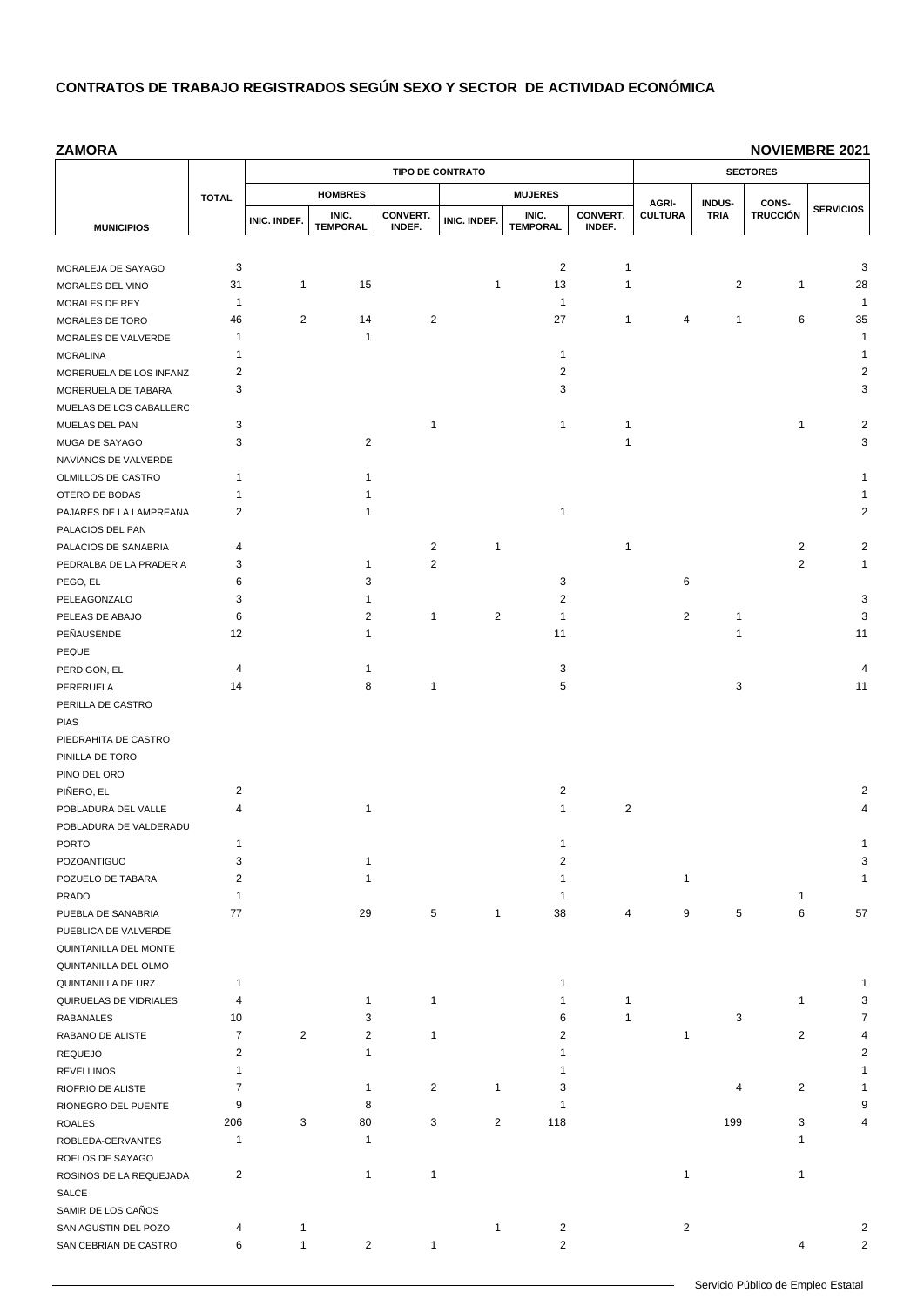**ZAMORA**

|                                           |                         |                |                 | <b>TIPO DE CONTRATO</b> |                | <b>SECTORES</b> |                |                         |                              |                          |                         |
|-------------------------------------------|-------------------------|----------------|-----------------|-------------------------|----------------|-----------------|----------------|-------------------------|------------------------------|--------------------------|-------------------------|
|                                           | <b>TOTAL</b>            |                | <b>HOMBRES</b>  |                         |                | <b>MUJERES</b>  |                |                         |                              |                          |                         |
|                                           |                         |                | INIC.           | CONVERT.                |                | INIC.           | CONVERT.       | AGRI-<br><b>CULTURA</b> | <b>INDUS-</b><br><b>TRIA</b> | CONS-<br><b>TRUCCIÓN</b> | <b>SERVICIOS</b>        |
| <b>MUNICIPIOS</b>                         |                         | INIC. INDEF.   | <b>TEMPORAL</b> | INDEF.                  | INIC. INDEF.   | <b>TEMPORAL</b> | INDEF.         |                         |                              |                          |                         |
|                                           |                         |                |                 |                         |                |                 |                |                         |                              |                          |                         |
| MORALEJA DE SAYAGO                        | 3                       |                |                 |                         |                | $\overline{2}$  | $\mathbf{1}$   |                         |                              |                          | 3                       |
| MORALES DEL VINO                          | 31                      | 1              | 15              |                         | 1              | 13              | $\mathbf{1}$   |                         | 2                            | 1                        | 28                      |
| MORALES DE REY                            | 1                       |                |                 |                         |                | $\mathbf{1}$    |                |                         |                              |                          | 1                       |
| MORALES DE TORO                           | 46                      | 2              | 14              | $\overline{2}$          |                | 27              | $\mathbf{1}$   | 4                       | 1                            | 6                        | 35                      |
| MORALES DE VALVERDE                       | 1                       |                | $\mathbf 1$     |                         |                |                 |                |                         |                              |                          | $\mathbf{1}$            |
| <b>MORALINA</b>                           | 1                       |                |                 |                         |                | $\mathbf{1}$    |                |                         |                              |                          | 1                       |
| MORERUELA DE LOS INFANZ                   | $\overline{\mathbf{c}}$ |                |                 |                         |                | 2               |                |                         |                              |                          | $\overline{\mathbf{c}}$ |
| MORERUELA DE TABARA                       | 3                       |                |                 |                         |                | 3               |                |                         |                              |                          | 3                       |
| MUELAS DE LOS CABALLERC<br>MUELAS DEL PAN | 3                       |                |                 | $\overline{1}$          |                | 1               | 1              |                         |                              | 1                        | $\overline{\mathbf{c}}$ |
| MUGA DE SAYAGO                            | 3                       |                | $\overline{2}$  |                         |                |                 | 1              |                         |                              |                          | 3                       |
| NAVIANOS DE VALVERDE                      |                         |                |                 |                         |                |                 |                |                         |                              |                          |                         |
| OLMILLOS DE CASTRO                        | 1                       |                | 1               |                         |                |                 |                |                         |                              |                          | 1                       |
| OTERO DE BODAS                            | 1                       |                | 1               |                         |                |                 |                |                         |                              |                          | 1                       |
| PAJARES DE LA LAMPREANA                   | $\overline{c}$          |                | $\mathbf{1}$    |                         |                | 1               |                |                         |                              |                          | $\overline{2}$          |
| PALACIOS DEL PAN                          |                         |                |                 |                         |                |                 |                |                         |                              |                          |                         |
| PALACIOS DE SANABRIA                      | 4                       |                |                 | $\overline{2}$          | 1              |                 | $\mathbf{1}$   |                         |                              | 2                        | $\overline{c}$          |
| PEDRALBA DE LA PRADERIA                   | 3                       |                | $\mathbf 1$     | $\sqrt{2}$              |                |                 |                |                         |                              | 2                        | 1                       |
| PEGO, EL                                  | 6                       |                | 3               |                         |                | 3               |                | 6                       |                              |                          |                         |
| PELEAGONZALO                              | 3                       |                | 1               |                         |                | 2               |                |                         |                              |                          | 3                       |
| PELEAS DE ABAJO                           | 6                       |                | 2               | $\mathbf{1}$            | $\overline{2}$ | 1               |                | 2                       | $\mathbf{1}$                 |                          | 3                       |
| PEÑAUSENDE                                | 12                      |                | 1               |                         |                | 11              |                |                         | 1                            |                          | 11                      |
| PEQUE                                     |                         |                |                 |                         |                |                 |                |                         |                              |                          |                         |
| PERDIGON, EL                              | 4                       |                | 1               |                         |                | 3               |                |                         |                              |                          | 4                       |
| PERERUELA                                 | 14                      |                | 8               | $\mathbf{1}$            |                | 5               |                |                         | 3                            |                          | 11                      |
| PERILLA DE CASTRO                         |                         |                |                 |                         |                |                 |                |                         |                              |                          |                         |
| <b>PIAS</b>                               |                         |                |                 |                         |                |                 |                |                         |                              |                          |                         |
| PIEDRAHITA DE CASTRO                      |                         |                |                 |                         |                |                 |                |                         |                              |                          |                         |
| PINILLA DE TORO<br>PINO DEL ORO           |                         |                |                 |                         |                |                 |                |                         |                              |                          |                         |
| PIÑERO, EL                                | 2                       |                |                 |                         |                | $\overline{c}$  |                |                         |                              |                          | 2                       |
| POBLADURA DEL VALLE                       | 4                       |                | $\mathbf 1$     |                         |                | 1               | $\overline{c}$ |                         |                              |                          | 4                       |
| POBLADURA DE VALDERADU                    |                         |                |                 |                         |                |                 |                |                         |                              |                          |                         |
| <b>PORTO</b>                              | 1                       |                |                 |                         |                | 1               |                |                         |                              |                          | 1                       |
| POZOANTIGUO                               | 3                       |                | 1               |                         |                | 2               |                |                         |                              |                          | 3                       |
| POZUELO DE TABARA                         | $\overline{\mathbf{c}}$ |                | $\mathbf 1$     |                         |                | 1               |                | 1                       |                              |                          | 1                       |
| <b>PRADO</b>                              | 1                       |                |                 |                         |                |                 |                |                         |                              | 1                        |                         |
| PUEBLA DE SANABRIA                        | 77                      |                | 29              | 5                       | 1              | 38              | 4              | 9                       | 5                            | 6                        | 57                      |
| PUEBLICA DE VALVERDE                      |                         |                |                 |                         |                |                 |                |                         |                              |                          |                         |
| QUINTANILLA DEL MONTE                     |                         |                |                 |                         |                |                 |                |                         |                              |                          |                         |
| QUINTANILLA DEL OLMO                      |                         |                |                 |                         |                |                 |                |                         |                              |                          |                         |
| QUINTANILLA DE URZ                        | 1                       |                |                 |                         |                | 1               |                |                         |                              |                          | 1                       |
| QUIRUELAS DE VIDRIALES                    | 4                       |                | $\mathbf{1}$    | $\mathbf{1}$            |                | 1               | 1              |                         |                              | $\mathbf{1}$             | 3                       |
| <b>RABANALES</b>                          | 10                      |                | 3               |                         |                | 6               | 1              |                         | 3                            |                          | 7                       |
| RABANO DE ALISTE                          | 7                       | $\overline{c}$ | 2               | $\mathbf{1}$            |                | 2               |                | 1                       |                              | 2                        | Δ                       |
| <b>REQUEJO</b>                            | $\overline{c}$          |                | $\mathbf{1}$    |                         |                | 1               |                |                         |                              |                          | 2                       |
| <b>REVELLINOS</b>                         | 1                       |                |                 |                         |                | 1               |                |                         |                              |                          | 1                       |
| RIOFRIO DE ALISTE<br>RIONEGRO DEL PUENTE  | $\overline{7}$<br>9     |                | 1<br>8          | 2                       | 1              | 3<br>1          |                |                         | 4                            | $\overline{2}$           | 1<br>g                  |
| <b>ROALES</b>                             | 206                     | 3              | 80              | 3                       | $\overline{c}$ | 118             |                |                         | 199                          | 3                        |                         |
| ROBLEDA-CERVANTES                         | 1                       |                | $\mathbf{1}$    |                         |                |                 |                |                         |                              | 1                        |                         |
| ROELOS DE SAYAGO                          |                         |                |                 |                         |                |                 |                |                         |                              |                          |                         |
| ROSINOS DE LA REQUEJADA                   | 2                       |                | $\mathbf{1}$    | $\mathbf{1}$            |                |                 |                | 1                       |                              | 1                        |                         |
| SALCE                                     |                         |                |                 |                         |                |                 |                |                         |                              |                          |                         |
| SAMIR DE LOS CAÑOS                        |                         |                |                 |                         |                |                 |                |                         |                              |                          |                         |
| SAN AGUSTIN DEL POZO                      | 4                       | $\mathbf{1}$   |                 |                         | 1              | $\overline{c}$  |                | 2                       |                              |                          | 2                       |
| SAN CEBRIAN DE CASTRO                     | 6                       | $\mathbf{1}$   | $\overline{2}$  | $\mathbf{1}$            |                | 2               |                |                         |                              | 4                        | 2                       |
|                                           |                         |                |                 |                         |                |                 |                |                         |                              |                          |                         |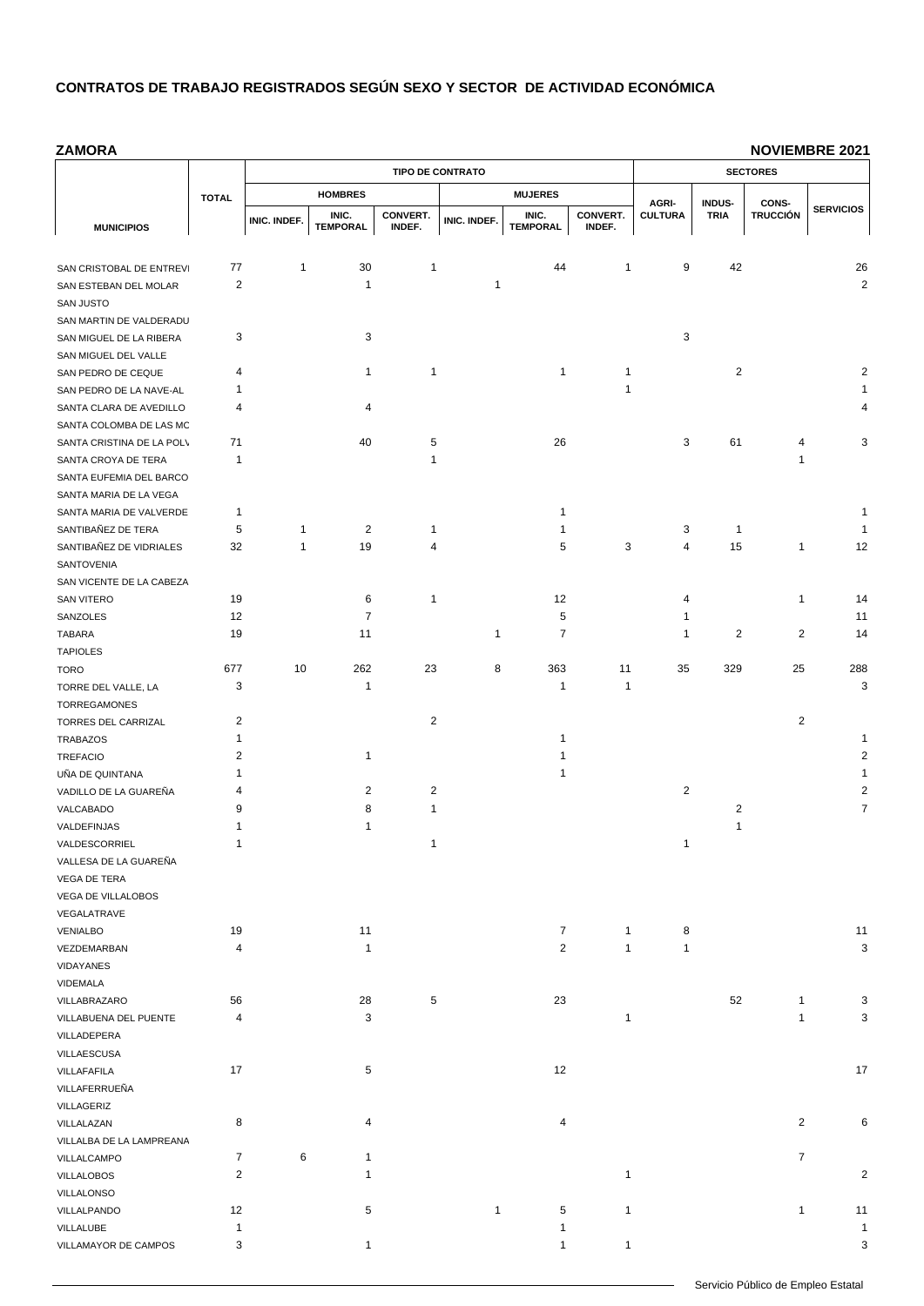**ZAMORA**

|                                             |                |              |                 | <b>TIPO DE CONTRATO</b> | <b>SECTORES</b> |                 |              |                         |                       |                          |                         |
|---------------------------------------------|----------------|--------------|-----------------|-------------------------|-----------------|-----------------|--------------|-------------------------|-----------------------|--------------------------|-------------------------|
|                                             | <b>TOTAL</b>   |              | <b>HOMBRES</b>  |                         |                 | <b>MUJERES</b>  |              |                         |                       |                          |                         |
|                                             |                |              | INIC.           | CONVERT.                |                 | INIC.           | CONVERT.     | AGRI-<br><b>CULTURA</b> | INDUS-<br><b>TRIA</b> | CONS-<br><b>TRUCCIÓN</b> | <b>SERVICIOS</b>        |
| <b>MUNICIPIOS</b>                           |                | INIC. INDEF. | <b>TEMPORAL</b> | INDEF.                  | INIC. INDEF.    | <b>TEMPORAL</b> | INDEF.       |                         |                       |                          |                         |
|                                             |                |              |                 |                         |                 |                 |              |                         |                       |                          |                         |
| SAN CRISTOBAL DE ENTREV                     | 77             | 1            | 30              | $\mathbf{1}$            |                 | 44              | 1            | 9                       | 42                    |                          | 26                      |
| SAN ESTEBAN DEL MOLAR                       | $\overline{c}$ |              | 1               |                         | 1               |                 |              |                         |                       |                          | $\overline{2}$          |
| <b>SAN JUSTO</b><br>SAN MARTIN DE VALDERADU |                |              |                 |                         |                 |                 |              |                         |                       |                          |                         |
| SAN MIGUEL DE LA RIBERA                     | 3              |              | 3               |                         |                 |                 |              | 3                       |                       |                          |                         |
| SAN MIGUEL DEL VALLE                        |                |              |                 |                         |                 |                 |              |                         |                       |                          |                         |
| SAN PEDRO DE CEQUE                          | 4              |              | 1               | $\mathbf{1}$            |                 | 1               | 1            |                         | $\overline{c}$        |                          | 2                       |
| SAN PEDRO DE LA NAVE-AL                     | 1              |              |                 |                         |                 |                 | 1            |                         |                       |                          |                         |
| SANTA CLARA DE AVEDILLO                     | 4              |              | 4               |                         |                 |                 |              |                         |                       |                          |                         |
| SANTA COLOMBA DE LAS MC                     |                |              |                 |                         |                 |                 |              |                         |                       |                          |                         |
| SANTA CRISTINA DE LA POL\                   | 71             |              | 40              | 5                       |                 | 26              |              | 3                       | 61                    | 4                        | 3                       |
| SANTA CROYA DE TERA                         | 1              |              |                 | $\mathbf{1}$            |                 |                 |              |                         |                       | 1                        |                         |
| SANTA EUFEMIA DEL BARCO                     |                |              |                 |                         |                 |                 |              |                         |                       |                          |                         |
| SANTA MARIA DE LA VEGA                      |                |              |                 |                         |                 |                 |              |                         |                       |                          |                         |
| SANTA MARIA DE VALVERDE                     | 1              |              |                 |                         |                 | 1               |              |                         |                       |                          |                         |
| SANTIBAÑEZ DE TERA                          | 5              | 1            | 2               | $\mathbf 1$             |                 | 1               |              | 3                       | $\mathbf{1}$          |                          |                         |
| SANTIBAÑEZ DE VIDRIALES                     | 32             | 1            | 19              | 4                       |                 | 5               | 3            | 4                       | 15                    | 1                        | 12                      |
| SANTOVENIA                                  |                |              |                 |                         |                 |                 |              |                         |                       |                          |                         |
| SAN VICENTE DE LA CABEZA                    |                |              |                 |                         |                 |                 |              |                         |                       |                          |                         |
| <b>SAN VITERO</b>                           | 19             |              | 6               | 1                       |                 | 12              |              | 4                       |                       | $\mathbf{1}$             | 14                      |
| SANZOLES                                    | 12             |              | $\overline{7}$  |                         |                 | 5               |              | 1                       |                       |                          | 11                      |
| TABARA                                      | 19             |              | 11              |                         | 1               | $\overline{7}$  |              | 1                       | 2                     | 2                        | 14                      |
| <b>TAPIOLES</b>                             |                |              |                 |                         |                 |                 |              |                         |                       |                          |                         |
| <b>TORO</b>                                 | 677            | 10           | 262             | 23                      | 8               | 363             | 11           | 35                      | 329                   | 25                       | 288                     |
| TORRE DEL VALLE, LA                         | 3              |              | 1               |                         |                 | 1               | 1            |                         |                       |                          | 3                       |
| <b>TORREGAMONES</b>                         |                |              |                 |                         |                 |                 |              |                         |                       |                          |                         |
| TORRES DEL CARRIZAL                         | $\overline{c}$ |              |                 | $\overline{2}$          |                 |                 |              |                         |                       | $\overline{c}$           |                         |
| <b>TRABAZOS</b>                             | 1              |              |                 |                         |                 | 1               |              |                         |                       |                          |                         |
| <b>TREFACIO</b>                             | $\overline{2}$ |              | $\mathbf{1}$    |                         |                 | 1               |              |                         |                       |                          | $\overline{2}$          |
| UÑA DE QUINTANA                             | 1              |              |                 |                         |                 | 1               |              |                         |                       |                          |                         |
| VADILLO DE LA GUAREÑA                       | 4              |              | $\overline{2}$  | $\overline{2}$          |                 |                 |              | $\overline{2}$          |                       |                          | 2                       |
| VALCABADO                                   | 9              |              | 8               | 1                       |                 |                 |              |                         | $\overline{2}$        |                          | 7                       |
| VALDEFINJAS                                 | 1              |              | 1               |                         |                 |                 |              |                         | $\mathbf{1}$          |                          |                         |
| VALDESCORRIEL                               | 1              |              |                 | 1                       |                 |                 |              | 1                       |                       |                          |                         |
| VALLESA DE LA GUAREÑA                       |                |              |                 |                         |                 |                 |              |                         |                       |                          |                         |
| VEGA DE TERA                                |                |              |                 |                         |                 |                 |              |                         |                       |                          |                         |
| VEGA DE VILLALOBOS                          |                |              |                 |                         |                 |                 |              |                         |                       |                          |                         |
| VEGALATRAVE                                 |                |              |                 |                         |                 |                 |              |                         |                       |                          |                         |
| VENIALBO                                    | 19             |              | 11              |                         |                 | $\overline{7}$  | 1            | 8                       |                       |                          | 11                      |
| VEZDEMARBAN                                 | 4              |              | $\mathbf{1}$    |                         |                 | $\overline{2}$  | $\mathbf{1}$ | 1                       |                       |                          | 3                       |
| VIDAYANES                                   |                |              |                 |                         |                 |                 |              |                         |                       |                          |                         |
| VIDEMALA<br>VILLABRAZARO                    | 56             |              | 28              | 5                       |                 | 23              |              |                         | 52                    | 1                        | 3                       |
| VILLABUENA DEL PUENTE                       | 4              |              | 3               |                         |                 |                 | 1            |                         |                       | $\mathbf{1}$             | 3                       |
| VILLADEPERA                                 |                |              |                 |                         |                 |                 |              |                         |                       |                          |                         |
| VILLAESCUSA                                 |                |              |                 |                         |                 |                 |              |                         |                       |                          |                         |
| VILLAFAFILA                                 | 17             |              | 5               |                         |                 | 12              |              |                         |                       |                          | 17                      |
| VILLAFERRUEÑA                               |                |              |                 |                         |                 |                 |              |                         |                       |                          |                         |
| VILLAGERIZ                                  |                |              |                 |                         |                 |                 |              |                         |                       |                          |                         |
| VILLALAZAN                                  | 8              |              | 4               |                         |                 | 4               |              |                         |                       | $\overline{2}$           | 6                       |
| VILLALBA DE LA LAMPREANA                    |                |              |                 |                         |                 |                 |              |                         |                       |                          |                         |
| VILLALCAMPO                                 | $\overline{7}$ | 6            | $\mathbf{1}$    |                         |                 |                 |              |                         |                       | $\overline{7}$           |                         |
| <b>VILLALOBOS</b>                           | $\overline{c}$ |              | 1               |                         |                 |                 | 1            |                         |                       |                          | $\overline{\mathbf{c}}$ |
| VILLALONSO                                  |                |              |                 |                         |                 |                 |              |                         |                       |                          |                         |
| VILLALPANDO                                 | 12             |              | 5               |                         | $\mathbf{1}$    | 5               | 1            |                         |                       | $\mathbf{1}$             | 11                      |
| VILLALUBE                                   | 1              |              |                 |                         |                 | 1               |              |                         |                       |                          | $\overline{1}$          |
| VILLAMAYOR DE CAMPOS                        | 3              |              | $\mathbf{1}$    |                         |                 | $\mathbf{1}$    | $\mathbf{1}$ |                         |                       |                          | 3                       |
|                                             |                |              |                 |                         |                 |                 |              |                         |                       |                          |                         |